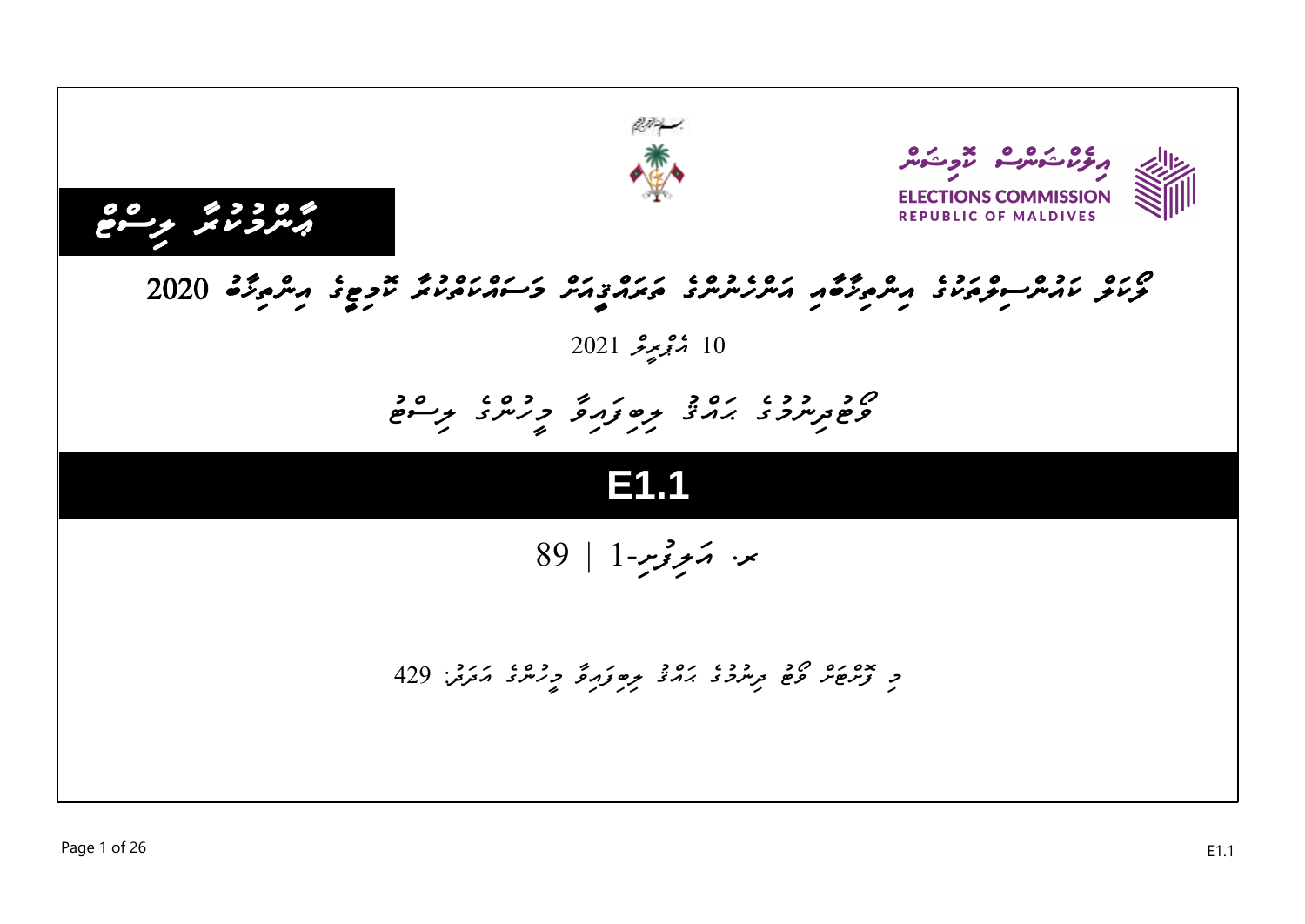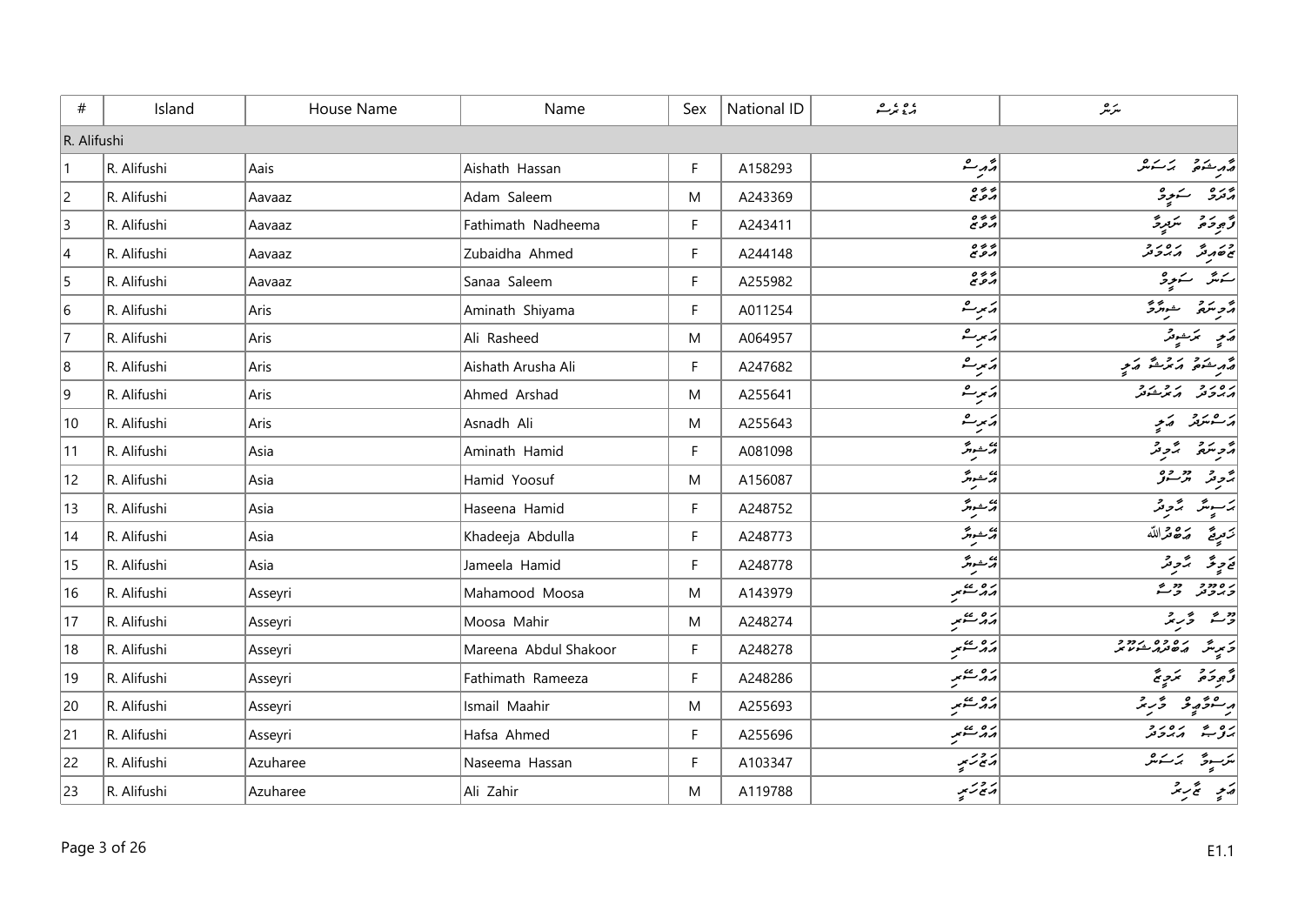| #              | Island      | House Name | Name                  | Sex         | National ID | ېره پر شه            | ىئرىتر                               |
|----------------|-------------|------------|-----------------------|-------------|-------------|----------------------|--------------------------------------|
| R. Alifushi    |             |            |                       |             |             |                      |                                      |
|                | R. Alifushi | Aais       | Aishath Hassan        | $\mathsf F$ | A158293     | رژمریه               | لەر شەھ بر سەمىر                     |
| $ 2\rangle$    | R. Alifushi | Aavaaz     | Adam Saleem           | M           | A243369     | په ده<br>در ون       | ړ ترو کرې د                          |
| $\mathsf{3}$   | R. Alifushi | Aavaaz     | Fathimath Nadheema    | F           | A243411     | په ده<br>در ون       | توالله وكالمحمد وتحفيظ المحمد وتحريد |
| $\overline{4}$ | R. Alifushi | Aavaaz     | Zubaidha Ahmed        | F.          | A244148     | پژیځ مخ              | בשתת הפנת                            |
| 5              | R. Alifushi | Aavaaz     | Sanaa Saleem          | F           | A255982     | پر ده<br>در د        | سَهُرٌ سَمَوِرٌ                      |
| $\,$ 6         | R. Alifushi | Aris       | Aminath Shiyama       | F           | A011254     | رئىرىشە              | أأروبتهم الشوائر                     |
| $\overline{7}$ | R. Alifushi | Aris       | Ali Rasheed           | ${\sf M}$   | A064957     | وسمرت                | أرشح التمر الشوقر                    |
| 8              | R. Alifushi | Aris       | Aishath Arusha Ali    | $\mathsf F$ | A247682     | وسمرت                |                                      |
| 9              | R. Alifushi | Aris       | Ahmed Arshad          | M           | A255641     | وسمرت                | رەرو رورو                            |
| $ 10\rangle$   | R. Alifushi | Aris       | Asnadh Ali            | M           | A255643     | ریبرے                | ئەسىر ئىگە ئەسپە                     |
| 11             | R. Alifushi | Asia       | Aminath Hamid         | F           | A081098     | <br> تر ھورگر        | أزويتم بالمحافر                      |
| 12             | R. Alifushi | Asia       | Hamid Yoosuf          | ${\sf M}$   | A156087     | اند مشودگر<br>ا      | بر دیگر میں میں تونی<br>مراجع        |
| 13             | R. Alifushi | Asia       | Haseena Hamid         | $\mathsf F$ | A248752     | ا پڑے پر<br>ا        | ىزىسەنئە ئ <sup>ى</sup> ردىگە        |
| 14             | R. Alifushi | Asia       | Khadeeja Abdulla      | $\mathsf F$ | A248773     | <br> تر شووتر        | تزميق كامحادالله                     |
| 15             | R. Alifushi | Asia       | Jameela Hamid         | F           | A248778     | اند شودگر<br>        | تجاويجة المجاوية                     |
| 16             | R. Alifushi | Asseyri    | Mahamood Moosa        | M           | A143979     | لئەرىئىمىر           | رەددو دوغ                            |
| 17             | R. Alifushi | Asseyri    | Moosa Mahir           | M           | A248274     | لئەۋستىمىر           | ا ژنٹ ڈرنڈ                           |
| 18             | R. Alifushi | Asseyri    | Mareena Abdul Shakoor | F           | A248278     | لهزه يحيمير          | בעית בסינת ביותר                     |
| 19             | R. Alifushi | Asseyri    | Fathimath Rameeza     | F           | A248286     | لئەرىئىمىر           | تزود مزديج                           |
| 20             | R. Alifushi | Asseyri    | Ismail Maahir         | M           | A255693     | لروييمر              | بر عدة بدء المحرار                   |
| 21             | R. Alifushi | Asseyri    | Hafsa Ahmed           | F           | A255696     | لمرهر يئمير          | برو به برەر د                        |
| 22             | R. Alifushi | Azuharee   | Naseema Hassan        | F           | A103347     | لرح ترسيه            | لترسوق الكاشر                        |
| 23             | R. Alifushi | Azuharee   | Ali Zahir             | M           | A119788     | ر حرم<br>امریح سرمبر | أوسمج سيحر سيتمر                     |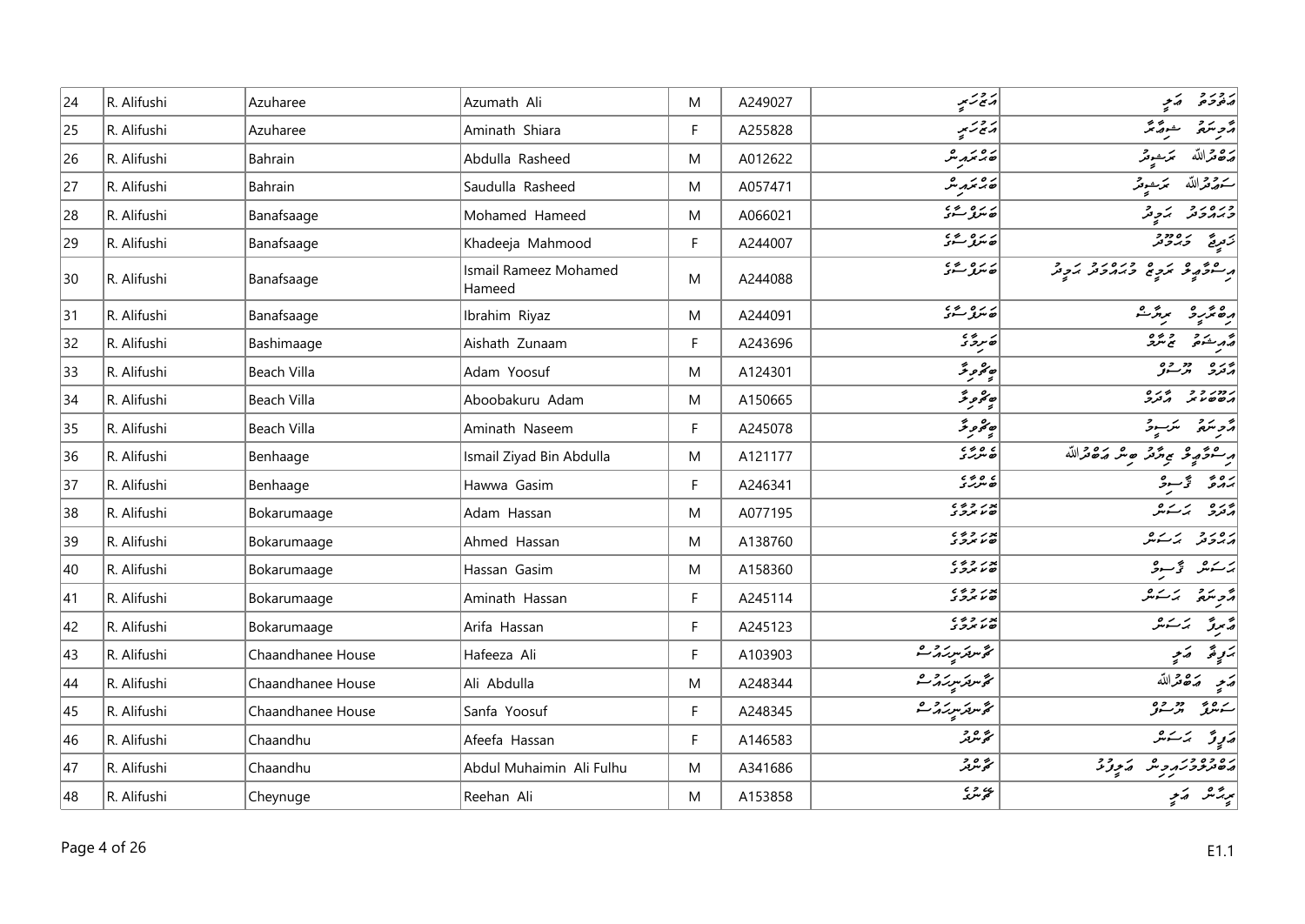| 24 | R. Alifushi | Azuharee           | Azumath Ali                     | M           | A249027 | بر جړي<br>د بح ټرې              | ر در د کړې                                                                                                                                                                                                                       |
|----|-------------|--------------------|---------------------------------|-------------|---------|---------------------------------|----------------------------------------------------------------------------------------------------------------------------------------------------------------------------------------------------------------------------------|
| 25 | R. Alifushi | Azuharee           | Aminath Shiara                  | F           | A255828 | لرحيمة سمير                     | أأدجن المستواري                                                                                                                                                                                                                  |
| 26 | R. Alifushi | Bahrain            | Abdulla Rasheed                 | M           | A012622 | ئەنجە ئەرى <i>گە</i>            | ره و الله گرشوند<br>صفرالله گرشوند                                                                                                                                                                                               |
| 27 | R. Alifushi | Bahrain            | Saudulla Rasheed                | M           | A057471 | ره بر مر<br>په برمر مر          | ر و دالله بر <sub>شو</sub> تر<br>سوړندالله بر <sub>شو</sub> تر                                                                                                                                                                   |
| 28 | R. Alifushi | Banafsaage         | Mohamed Hameed                  | M           | A066021 | پر پره په <sup>پ</sup>          | ورەرو بەر                                                                                                                                                                                                                        |
| 29 | R. Alifushi | Banafsaage         | Khadeeja Mahmood                | F           | A244007 | پر په وه و،<br>په مترنې شوې     | زىرى دەردى<br>ئىرىق <i>دى</i> روىر                                                                                                                                                                                               |
| 30 | R. Alifushi | Banafsaage         | Ismail Rameez Mohamed<br>Hameed | M           | A244088 | ر ره مړي<br><i>ه</i> نرنو سر    |                                                                                                                                                                                                                                  |
| 31 | R. Alifushi | Banafsaage         | Ibrahim Riyaz                   | M           | A244091 | ر ره د و په<br>ح <i>امزن</i> گر |                                                                                                                                                                                                                                  |
| 32 | R. Alifushi | Bashimaage         | Aishath Zunaam                  | F           | A243696 | ر<br>ت <i>قىردى</i>             |                                                                                                                                                                                                                                  |
| 33 | R. Alifushi | <b>Beach Villa</b> | Adam Yoosuf                     | M           | A124301 | ھەمجە <i>مەڭ</i>                | أيره وحروه                                                                                                                                                                                                                       |
| 34 | R. Alifushi | <b>Beach Villa</b> | Aboobakuru Adam                 | M           | A150665 | <br> حو <i>مح</i> مو محر        | $0.4$ $2.7.77.7$                                                                                                                                                                                                                 |
| 35 | R. Alifushi | Beach Villa        | Aminath Naseem                  | F           | A245078 | په محرمو محر                    | أأروبتكم التناسير                                                                                                                                                                                                                |
| 36 | R. Alifushi | Benhaage           | Ismail Ziyad Bin Abdulla        | M           | A121177 |                                 | و مؤثر و مركز موسر و و الله                                                                                                                                                                                                      |
| 37 | R. Alifushi | Benhaage           | Hawwa Gasim                     | F           | A246341 |                                 | برەغ ئۇسوۋ                                                                                                                                                                                                                       |
| 38 | R. Alifushi | Bokarumaage        | Adam Hassan                     | M           | A077195 | پر ر و د ،<br><i>ه تا برد د</i> | ەرە ئەسەر                                                                                                                                                                                                                        |
| 39 | R. Alifushi | Bokarumaage        | Ahmed Hassan                    | M           | A138760 | بر ر د د ،<br><i>په برد د</i>   | رەرد ئەسەر                                                                                                                                                                                                                       |
| 40 | R. Alifushi | Bokarumaage        | Hassan Gasim                    | M           | A158360 | پر ر و د ،<br><i>ه تا برد د</i> | برسكش تؤسده                                                                                                                                                                                                                      |
| 41 | R. Alifushi | Bokarumaage        | Aminath Hassan                  | $\mathsf F$ | A245114 | پر ر و د ،<br><i>ه تا برد د</i> | أأروبتهم بمكتور                                                                                                                                                                                                                  |
| 42 | R. Alifushi | Bokarumaage        | Arifa Hassan                    | F           | A245123 | پر ر و د ،<br><i>ه تا برد د</i> | ە ئىرىق ئەسكىلى                                                                                                                                                                                                                  |
| 43 | R. Alifushi | Chaandhanee House  | Hafeeza Ali                     | $\mathsf F$ | A103903 | ڭۇس <sub>ى</sub> ترىيرىدەك      | ر <i>کوهٔ</i> مکم                                                                                                                                                                                                                |
| 44 | R. Alifushi | Chaandhanee House  | Ali Abdulla                     | M           | A248344 | ڭۇس <sub>ل</sub> ىرىدىرگەش      | قدم قائدة                                                                                                                                                                                                                        |
| 45 | R. Alifushi | Chaandhanee House  | Sanfa Yoosuf                    | $\mathsf F$ | A248345 | ڭۇستىر سرىكەرگە                 | سەھەر بىر دە                                                                                                                                                                                                                     |
| 46 | R. Alifushi | Chaandhu           | Afeefa Hassan                   | F           | A146583 | ىجە بىر بىر                     | ړَږِ ژَ دَ دَ شَر                                                                                                                                                                                                                |
| 47 | R. Alifushi | Chaandhu           | Abdul Muhaimin Ali Fulhu        | M           | A341686 | ىجە بىر بىر                     | גם בפרי הפני היולדי ביולי היולדי ביולי היולדי ביולי ביולי ביולי ביולי ביולי ביולי ביולי ביולי ביולי ביולי ביול<br>המודד ביולי ביולי ביולי ביולי ביולי ביולי ביולי ביולי ביולי ביולי ביולי ביולי ביולי ביולי ביולי ביולי ביולי בי |
| 48 | R. Alifushi | Cheynuge           | Reehan Ali                      | M           | A153858 | يء ج ۽<br>گھوسري                | ىرىگىش كەي                                                                                                                                                                                                                       |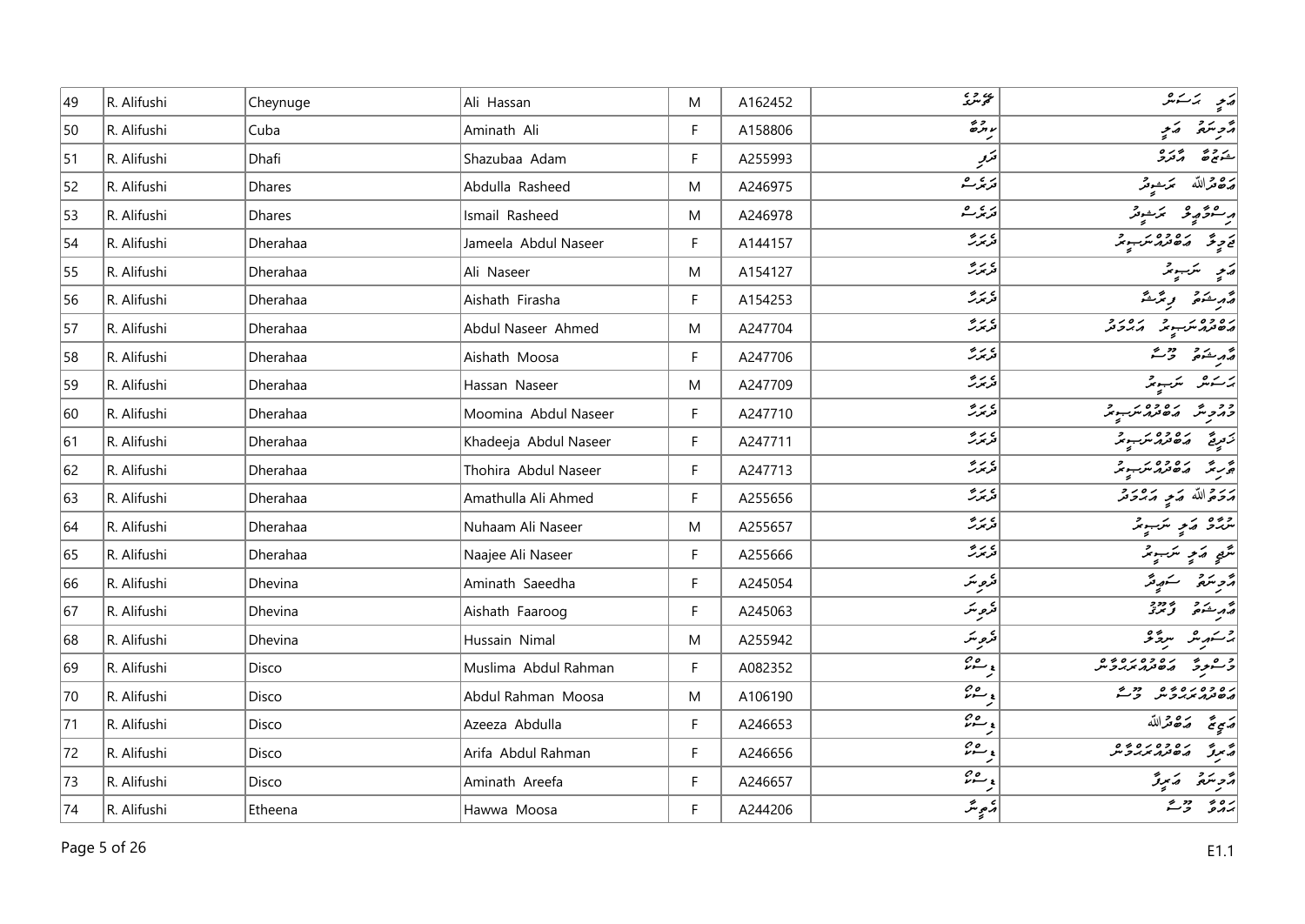| 49 | R. Alifushi | Cheynuge       | Ali Hassan            | M  | A162452 | ی و ۽<br>گھسري                                                            | ە ئەسە                                                                                                                        |
|----|-------------|----------------|-----------------------|----|---------|---------------------------------------------------------------------------|-------------------------------------------------------------------------------------------------------------------------------|
| 50 | R. Alifushi | Cuba           | Aminath Ali           | F  | A158806 | ىدە ئە                                                                    | أثرحر منزة<br>ەتىر                                                                                                            |
| 51 | R. Alifushi | Dhafi          | Shazubaa Adam         | F. | A255993 | انتزر                                                                     | $\overline{\begin{array}{ccc} & & & \zeta & \zeta \\ & & \zeta & \zeta & \zeta \\ \zeta & \zeta & \zeta & \zeta \end{array}}$ |
| 52 | R. Alifushi | <b>Dhares</b>  | Abdulla Rasheed       | M  | A246975 | ىر بى ھ                                                                   | ره و الله گرشوند<br>صفرالله گرشوند                                                                                            |
| 53 | R. Alifushi | <b>Dhares</b>  | Ismail Rasheed        | M  | A246978 | ترترعه                                                                    | رېشۇر ئىي                                                                                                                     |
| 54 | R. Alifushi | Dherahaa       | Jameela Abdul Naseer  | F  | A144157 | ی ر بر<br>توبور                                                           |                                                                                                                               |
| 55 | R. Alifushi | Dherahaa       | Ali Naseer            | M  | A154127 | ی ر بر<br>توبور                                                           | ړې شبېر                                                                                                                       |
| 56 | R. Alifushi | Dherahaa       | Aishath Firasha       | F  | A154253 | ی ر بر<br>توبور                                                           | أمريض وتريث                                                                                                                   |
| 57 | R. Alifushi | Dherahaa       | Abdul Naseer Ahmed    | M  | A247704 | ی ر بر<br>توبور                                                           | גם כם גדי גם גב<br>גם מגישה בי גם גב                                                                                          |
| 58 | R. Alifushi | Dherahaa       | Aishath Moosa         | F  | A247706 | ی ر بر<br>توبور                                                           | $\begin{array}{cc} 2 & 2 & 3 \\ 2 & 2 & 3 \end{array}$                                                                        |
| 59 | R. Alifushi | Dherahaa       | Hassan Naseer         | M  | A247709 | ی ر بر<br>توبور                                                           | برسوها الكرسوم                                                                                                                |
| 60 | R. Alifushi | Dherahaa       | Moomina Abdul Naseer  | F  | A247710 | ی ر بر<br>توبور                                                           | כב ה בסבר הבר                                                                                                                 |
| 61 | R. Alifushi | Dherahaa       | Khadeeja Abdul Naseer | F  | A247711 | ی ر بر<br>توبور                                                           | ر ديد ده ده ده د د د د                                                                                                        |
| 62 | R. Alifushi | Dherahaa       | Thohira Abdul Naseer  | F  | A247713 | ى رىپى<br>تىرىپرىر                                                        |                                                                                                                               |
| 63 | R. Alifushi | Dherahaa       | Amathulla Ali Ahmed   | F  | A255656 | ی ر بر<br>توبور                                                           | أترقه والله أتهمج وترجر فتر                                                                                                   |
| 64 | R. Alifushi | Dherahaa       | Nuhaam Ali Naseer     | M  | A255657 | ی ر بر<br>تریزر                                                           | مرتزق كالمج الكرسولي                                                                                                          |
| 65 | R. Alifushi | Dherahaa       | Naajee Ali Naseer     | F  | A255666 | ی ر بر<br>توبور                                                           | أأتمني أواقح الكرسوند                                                                                                         |
| 66 | R. Alifushi | <b>Dhevina</b> | Aminath Saeedha       | F. | A245054 | قرحر يئر                                                                  | ړو سرو سوړونگر                                                                                                                |
| 67 | R. Alifushi | Dhevina        | Aishath Faaroog       | F. | A245063 | قرعر متر                                                                  | و در شوم و در د                                                                                                               |
| 68 | R. Alifushi | Dhevina        | Hussain Nimal         | M  | A255942 | قرحر متر                                                                  | يزخير شريحة                                                                                                                   |
| 69 | R. Alifushi | Disco          | Muslima Abdul Rahman  | F  | A082352 | $\stackrel{\scriptscriptstyle O}{\phantom{}_{\smile}\phantom{}_{\smile}}$ | ر ه وه ر ه د ه<br>پره تربر تر س<br>وحسورة                                                                                     |
| 70 | R. Alifushi | Disco          | Abdul Rahman Moosa    | M  | A106190 | بدميثه                                                                    | ره ده ده ده ود مو                                                                                                             |
| 71 | R. Alifushi | Disco          | Azeeza Abdulla        | F  | A246653 | $\stackrel{\mathcal{C}\rho}{\sim}$                                        | أصبي ستحق متصالله                                                                                                             |
| 72 | R. Alifushi | <b>Disco</b>   | Arifa Abdul Rahman    | F  | A246656 | $\stackrel{\mathcal{C}\rho}{\sim}$                                        | ره وه ره ۶ ه<br>پره تربر تر تر<br>ەر بور                                                                                      |
| 73 | R. Alifushi | <b>Disco</b>   | Aminath Areefa        | F  | A246657 | وبمشيش                                                                    | أرمره<br>ەرىمىرىق                                                                                                             |
| 74 | R. Alifushi | Etheena        | Hawwa Moosa           | F  | A244206 | وهويتر                                                                    | برەپچ<br>دو مح                                                                                                                |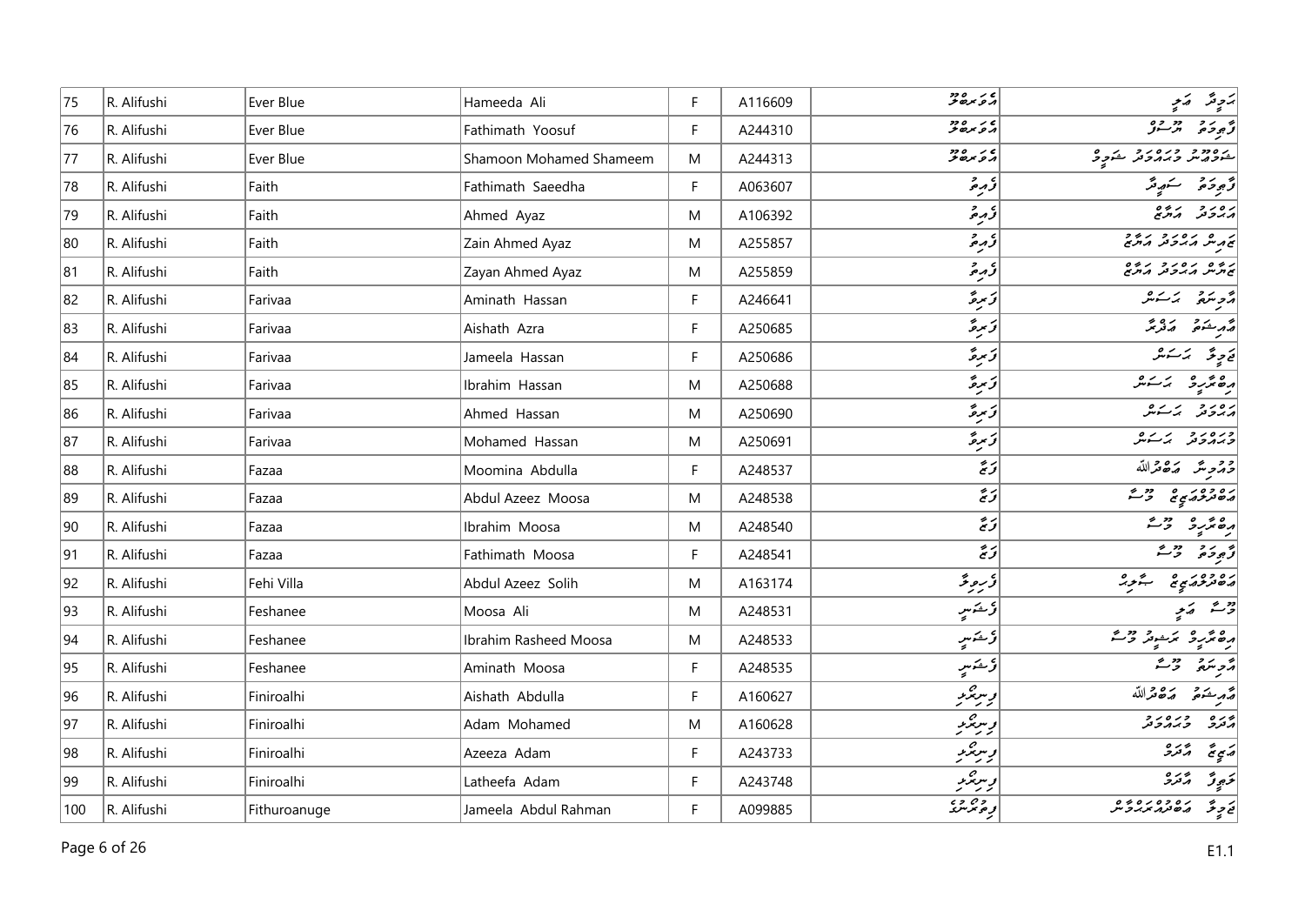| 75  | R. Alifushi | Ever Blue    | Hameeda Ali             | F         | A116609 | י גם יכי די<br>גם יבים <del>ב</del>           | ر د د کار د کار د کار د کار د کار د کار د کار د کار د کار د کار د کار د کار دیگان در این کار در این کار در این<br>منابع کار کار در این کار در این کار در این کار در این کار در این کار بر در این کار می باشد که در این کار در ای |
|-----|-------------|--------------|-------------------------|-----------|---------|-----------------------------------------------|----------------------------------------------------------------------------------------------------------------------------------------------------------------------------------------------------------------------------------|
| 76  | R. Alifushi | Ever Blue    | Fathimath Yoosuf        | F         | A244310 | ے رکھ بوجو<br>در خان موضوعی                   | $\begin{pmatrix} 0 & 2 & 2 & 2 & 3 \\ 2 & -2 & 2 & 2 & 2 \\ 3 & -2 & 2 & 2 & 2 \end{pmatrix}$                                                                                                                                    |
| 77  | R. Alifushi | Ever Blue    | Shamoon Mohamed Shameem | M         | A244313 | ג ב <b>יכי</b> די<br>ג פ ייקום <del>ד</del> י | ر ودو و در ور و در و و                                                                                                                                                                                                           |
| 78  | R. Alifushi | Faith        | Fathimath Saeedha       | F         | A063607 | تومرچ                                         | أرْجوحَا مَنْ السَّرْمِيَّةِ الْمُتَّابِيَّةِ الْمُتَابِيَّةِ الْمُتَابَّةِ مِنْ                                                                                                                                                 |
| 79  | R. Alifushi | Faith        | Ahmed Ayaz              | M         | A106392 | تومرچ                                         | גפני גודם                                                                                                                                                                                                                        |
| 80  | R. Alifushi | Faith        | Zain Ahmed Ayaz         | ${\sf M}$ | A255857 | تومرچ                                         | ב תיית המכנק המים<br>באתיית המכנק המים                                                                                                                                                                                           |
| 81  | R. Alifushi | Faith        | Zayan Ahmed Ayaz        | M         | A255859 | تومرة                                         | גם גם גם גם<br>גם הגבע התב                                                                                                                                                                                                       |
| 82  | R. Alifushi | Farivaa      | Aminath Hassan          | F         | A246641 | ترىرى                                         | مەمەسىم ئەسكىر                                                                                                                                                                                                                   |
| 83  | R. Alifushi | Farivaa      | Aishath Azra            | F         | A250685 | ۇ بىرىگە<br>سىسىمىسى                          | د د شوه ده د د                                                                                                                                                                                                                   |
| 84  | R. Alifushi | Farivaa      | Jameela Hassan          | F         | A250686 | وَمَرِةً                                      | قاج في المركب المركب المركب                                                                                                                                                                                                      |
| 85  | R. Alifushi | Farivaa      | Ibrahim Hassan          | M         | A250688 | تزىرى                                         | رەپرىر ئەسەر                                                                                                                                                                                                                     |
| 86  | R. Alifushi | Farivaa      | Ahmed Hassan            | M         | A250690 | تزمور                                         | رەرو برىكە                                                                                                                                                                                                                       |
| 87  | R. Alifushi | Farivaa      | Mohamed Hassan          | M         | A250691 | وَ مَرِيَّ                                    | ورەرو پەسەر                                                                                                                                                                                                                      |
| 88  | R. Alifushi | Fazaa        | Moomina Abdulla         | F         | A248537 | ترتج                                          | وقروبتر الاهترالله                                                                                                                                                                                                               |
| 89  | R. Alifushi | Fazaa        | Abdul Azeez Moosa       | M         | A248538 | ترتج                                          | גם כם גם נכל                                                                                                                                                                                                                     |
| 90  | R. Alifushi | Fazaa        | Ibrahim Moosa           | M         | A248540 | ترتج                                          |                                                                                                                                                                                                                                  |
| 91  | R. Alifushi | Fazaa        | Fathimath Moosa         | F         | A248541 | وًجَّ                                         | توجوحوا وحسة                                                                                                                                                                                                                     |
| 92  | R. Alifushi | Fehi Villa   | Abdul Azeez Solih       | M         | A163174 | ۇرەپۇ                                         | $2, 3, 2, 3, 3, 3, 6, 7, 8, 7, 8, 7, 8, 7, 8, 7, 8, 7, 8, 7, 8, 7, 8, 7, 8, 7, 8, 7, 8, 7, 8, 7, 8, 7, 8, 7, 8, 7, 8, 7, 8, 7, 8, 7, 8, 7, 8, 7, 8, 7, 8, 7, 8, 7, 8, 7, 8, 7, 8, 7, 8, 7, 8, 7, 8, 7, 8, 7, 8, 7, 8, 7, 8, 7$   |
| 93  | R. Alifushi | Feshanee     | Moosa Ali               | M         | A248531 | قريمة معر                                     | $\frac{1}{2}$ $\frac{2}{3}$                                                                                                                                                                                                      |
| 94  | R. Alifushi | Feshanee     | Ibrahim Rasheed Moosa   | M         | A248533 | اؤت<br>ا                                      | ופת כי הייני לי                                                                                                                                                                                                                  |
| 95  | R. Alifushi | Feshanee     | Aminath Moosa           | F         | A248535 | اقر ـ<br>اقر ــور                             | ړٌ پر سر د د ش                                                                                                                                                                                                                   |
| 96  | R. Alifushi | Finiroalhi   | Aishath Abdulla         | F         | A160627 | وسرچور                                        | مُ مِ شَمَعٍ مَصْحَرَ اللَّهُ                                                                                                                                                                                                    |
| 97  | R. Alifushi | Finiroalhi   | Adam Mohamed            | ${\sf M}$ | A160628 | وسرچمو                                        | وره وره رو<br>مدرد وبرمرو                                                                                                                                                                                                        |
| 98  | R. Alifushi | Finiroalhi   | Azeeza Adam             | F         | A243733 | وسرچو                                         | لهَ بِي بِجَ<br>پھوڑ<br>مرکزو                                                                                                                                                                                                    |
| 99  | R. Alifushi | Finiroalhi   | Latheefa Adam           | F         | A243748 | وسرچمو                                        | ىز بەرگە<br>ئىستار<br>ەرگەر                                                                                                                                                                                                      |
| 100 | R. Alifushi | Fithuroanuge | Jameela Abdul Rahman    | F         | A099885 | وه وه و،<br>پوه ترسمد                         |                                                                                                                                                                                                                                  |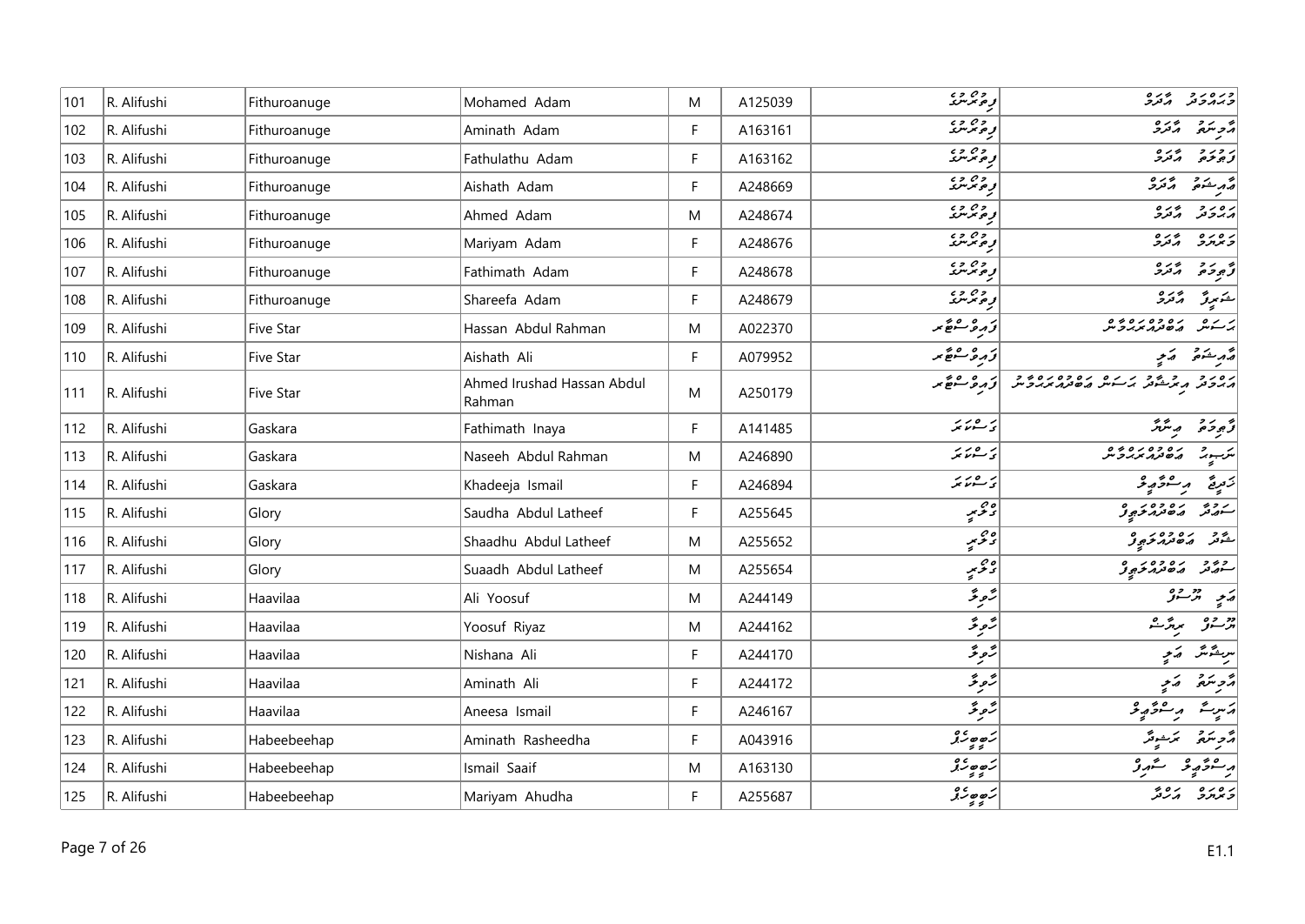| 101 | R. Alifushi | Fithuroanuge | Mohamed Adam                         | M           | A125039 | د وړ و ،<br>نوموسر                       | כנסנכ שנס                                                                        |
|-----|-------------|--------------|--------------------------------------|-------------|---------|------------------------------------------|----------------------------------------------------------------------------------|
| 102 | R. Alifushi | Fithuroanuge | Aminath Adam                         | F           | A163161 | وه وه و ،                                | پور ہ<br>پر تر تر<br>لمجمعبه يتمهجر                                              |
| 103 | R. Alifushi | Fithuroanuge | Fathulathu Adam                      | F           | A163162 | وه ده ده                                 | ر ور و پره<br>ازجر شهر                                                           |
| 104 | R. Alifushi | Fithuroanuge | Aishath Adam                         | F.          | A248669 | وه د ه د ه                               | ەرگەر<br>ړ برخو د                                                                |
| 105 | R. Alifushi | Fithuroanuge | Ahmed Adam                           | M           | A248674 | د و ۵ و ،<br>و د سرس                     | ره رو پوره<br><i>ډېرونډ پر</i> ترو                                               |
| 106 | R. Alifushi | Fithuroanuge | Mariyam Adam                         | F           | A248676 | وه وه وه<br>وه مرسمد                     | ر ه ر ه<br><del>د</del> بربرگ<br>پور ہ<br>مرمرو                                  |
| 107 | R. Alifushi | Fithuroanuge | Fathimath Adam                       | $\mathsf F$ | A248678 | وه وه و،<br>  په مرسمد                   | و مورد و دره                                                                     |
| 108 | R. Alifushi | Fithuroanuge | Shareefa Adam                        | $\mathsf F$ | A248679 | و وړ و،                                  | أخيرة أوره                                                                       |
| 109 | R. Alifushi | Five Star    | Hassan Abdul Rahman                  | M           | A022370 | أزره وعقيمه                              | ر ره ده ده ده ده و                                                               |
| 110 | R. Alifushi | Five Star    | Aishath Ali                          | F           | A079952 | <mark>ز</mark> ېږ ۋر ش <sub>ەھ</sub> تىر | مەر خىم كەم                                                                      |
| 111 | R. Alifushi | Five Star    | Ahmed Irushad Hassan Abdul<br>Rahman | M           | A250179 | ئەرۋىشقۇ بىر                             | ر ہ ر د د د د د ر ر ہ ر ہ دہ رہ د د<br>ג برو تر بر برخوتر بر سوس پر صادر بربرو س |
| 112 | R. Alifushi | Gaskara      | Fathimath Inaya                      | F           | A141485 | ى سەرىمىر                                | ژوځو رشر                                                                         |
| 113 | R. Alifushi | Gaskara      | Naseeh Abdul Rahman                  | M           | A246890 | ى سەرىمە                                 | ره وه ره د ه<br>پره تربر تر تر<br>ىئرىبور                                        |
| 114 | R. Alifushi | Gaskara      | Khadeeja Ismail                      | F           | A246894 | ى سەرىمە                                 | ەر سىزۇر بۇ<br>تزىرىتى<br>ئە                                                     |
| 115 | R. Alifushi | Glory        | Saudha Abdul Latheef                 | $\mathsf F$ | A255645 | ە مى پە                                  | روم ره ده ره و                                                                   |
| 116 | R. Alifushi | Glory        | Shaadhu Abdul Latheef                | M           | A255652 | ە مى بېر<br>  ئەغرىپ                     | شو ره ده در و                                                                    |
| 117 | R. Alifushi | Glory        | Suaadh Abdul Latheef                 | M           | A255654 | ە مى بىر<br>  ئەخرىپە                    | - دور ده ده در و                                                                 |
| 118 | R. Alifushi | Haavilaa     | Ali Yoosuf                           | M           | A244149 | رٌوِ وٌَ                                 | $\begin{vmatrix} 0 & 2 & 2 \\ 2 & -2 & 2 \end{vmatrix}$                          |
| 119 | R. Alifushi | Haavilaa     | Yoosuf Riyaz                         | M           | A244162 | رٌّہ ِ تَرُ                              | دو حره<br>مرگسترنو<br>سرور شه                                                    |
| 120 | R. Alifushi | Haavilaa     | Nishana Ali                          | F           | A244170 | رحموقر                                   | سرچينځر کړېږ                                                                     |
| 121 | R. Alifushi | Haavilaa     | Aminath Ali                          | F           | A244172 | رٌّہ ِ تَرُ                              | و المعرض المسلم المسلم المسلم                                                    |
| 122 | R. Alifushi | Haavilaa     | Aneesa Ismail                        | F           | A246167 | رحمو محر                                 | ړَښت ره ژوَړو                                                                    |
| 123 | R. Alifushi | Habeebeehap  | Aminath Rasheedha                    | F           | A043916 | ر<br>مەم بىر<br>ئ                        | أأترجم تكالموقر                                                                  |
| 124 | R. Alifushi | Habeebeehap  | Ismail Saaif                         | M           | A163130 | ر<br>سوءِ جو                             | ارىقۇمۇ                                                                          |
| 125 | R. Alifushi | Habeebeehap  | Mariyam Ahudha                       | F           | A255687 | $rac{c}{2}$                              | رەرە رەپ                                                                         |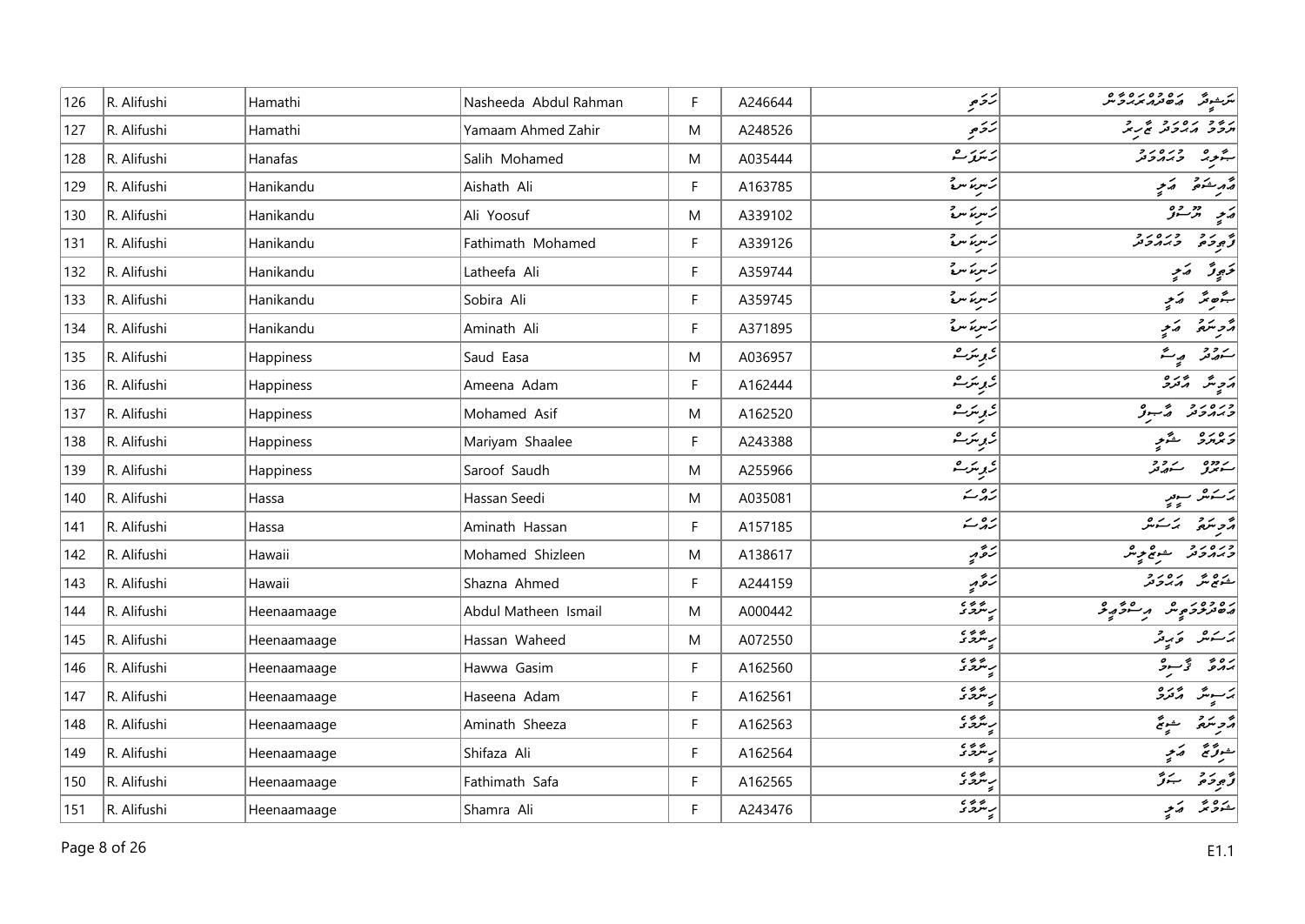| 126 | R. Alifushi | Hamathi          | Nasheeda Abdul Rahman | F.          | A246644 | ترځ مو                      | ر ده ده ده ده ده ده<br>سرشونر مان در مربر و س                                                                                                                                                                                   |
|-----|-------------|------------------|-----------------------|-------------|---------|-----------------------------|---------------------------------------------------------------------------------------------------------------------------------------------------------------------------------------------------------------------------------|
| 127 | R. Alifushi | Hamathi          | Yamaam Ahmed Zahir    | M           | A248526 | ترځمو                       | נגב נפנב הבני                                                                                                                                                                                                                   |
| 128 | R. Alifushi | Hanafas          | Salih Mohamed         | M           | A035444 | ئەنىدۇر ھ                   | و رە ر د<br>تر پر تر تر<br>بڈىر پر                                                                                                                                                                                              |
| 129 | R. Alifushi | Hanikandu        | Aishath Ali           | F           | A163785 | ئەسەبئەسىدىيە               | ړه شوه کړ                                                                                                                                                                                                                       |
| 130 | R. Alifushi | Hanikandu        | Ali Yoosuf            | M           | A339102 | ئەس <i>رى</i> دىندى<br>     | ار دوره دوره<br>اور دور                                                                                                                                                                                                         |
| 131 | R. Alifushi | Hanikandu        | Fathimath Mohamed     | $\mathsf F$ | A339126 | ئەسەر ئەسدى                 | 37073 37 3                                                                                                                                                                                                                      |
| 132 | R. Alifushi | Hanikandu        | Latheefa Ali          | $\mathsf F$ | A359744 | ئەبىرىدىنى ج                | توجوق الكامح                                                                                                                                                                                                                    |
| 133 | R. Alifushi | Hanikandu        | Sobira Ali            | F           | A359745 | ئەسەرىدىنى<br>مەس           | $rac{2}{x}$ $rac{2}{x}$<br>ەئىسىيە                                                                                                                                                                                              |
| 134 | R. Alifushi | Hanikandu        | Aminath Ali           | F           | A371895 | ئەسە يەسىدى                 | أثر حريثهمج<br>ەئەمىيە                                                                                                                                                                                                          |
| 135 | R. Alifushi | Happiness        | Saud Easa             | M           | A036957 | ئرېږېنې                     | سندود په ش                                                                                                                                                                                                                      |
| 136 | R. Alifushi | <b>Happiness</b> | Ameena Adam           | F           | A162444 | ئ <sub>ە بو</sub> ىئەت<br>م | أرَدِيثَرَ أَرْمَزَدَ                                                                                                                                                                                                           |
| 137 | R. Alifushi | Happiness        | Mohamed Asif          | M           | A162520 | ئ <sub>ە بو</sub> ىئە بە    | ورەرو ھُبور                                                                                                                                                                                                                     |
| 138 | R. Alifushi | Happiness        | Mariyam Shaalee       | F.          | A243388 | ئربرسك                      | ترەرە ھەيج                                                                                                                                                                                                                      |
| 139 | R. Alifushi | Happiness        | Saroof Saudh          | M           | A255966 | ئربرسك                      | ستهبو ستهدفه                                                                                                                                                                                                                    |
| 140 | R. Alifushi | Hassa            | Hassan Seedi          | M           | A035081 | رەمە                        | پرسند عبد السوريد<br>  په سند په پهلندي                                                                                                                                                                                         |
| 141 | R. Alifushi | Hassa            | Aminath Hassan        | F           | A157185 | ئەۋىئە                      | ۇ ئەسكە ئەسكەنلەر                                                                                                                                                                                                               |
| 142 | R. Alifushi | Hawaii           | Mohamed Shizleen      | M           | A138617 | رَءٌ م                      | ورەرو ھەمچىر                                                                                                                                                                                                                    |
| 143 | R. Alifushi | Hawaii           | Shazna Ahmed          | F           | A244159 | رځومه                       | شەھرىقە ئەر ئەر ئەر                                                                                                                                                                                                             |
| 144 | R. Alifushi | Heenaamaage      | Abdul Matheen Ismail  | M           | A000442 | ر پڙھ ئ                     | ו פני פלקים וקייני ולי בין היו המודעי ברי היו היו ברי בין היו ברי היו ברי היו ברי היו ברי בין היו ברי היו ברי<br>המודעי ברי היו ברי היו ברי היו ברי היו ברי היו ברי היו ברי היו ברי היו ברי היו ברי היו ברי היו ברי היו ברי היו |
| 145 | R. Alifushi | Heenaamaage      | Hassan Waheed         | M           | A072550 | لرېڅونه                     | يزكتاند الأبرقر                                                                                                                                                                                                                 |
| 146 | R. Alifushi | Heenaamaage      | Hawwa Gasim           | F.          | A162560 | ر پڙھ<br>پي مگرچي           | برەپ تۇسىۋ                                                                                                                                                                                                                      |
| 147 | R. Alifushi | Heenaamaage      | Haseena Adam          | F.          | A162561 | ر پژوي<br>په مترد د         | ىز سەنئىر مەندى<br>ئ                                                                                                                                                                                                            |
| 148 | R. Alifushi | Heenaamaage      | Aminath Sheeza        | F           | A162563 | ر پڙو ۽<br>په               | أأترج متنعي فسيتم                                                                                                                                                                                                               |
| 149 | R. Alifushi | Heenaamaage      | Shifaza Ali           | F.          | A162564 | ر پژوئر<br>ئ <sup>ۆ</sup>   | احورج<br>کے<br>رځمنې                                                                                                                                                                                                            |
| 150 | R. Alifushi | Heenaamaage      | Fathimath Safa        | F           | A162565 | ر پڙھ<br>پي مگرچي           | ا تو بر د<br>سەتى                                                                                                                                                                                                               |
| 151 | R. Alifushi | Heenaamaage      | Shamra Ali            | F           | A243476 | ر پڙھ ي<br>پيدا             | أخترق مجمعي                                                                                                                                                                                                                     |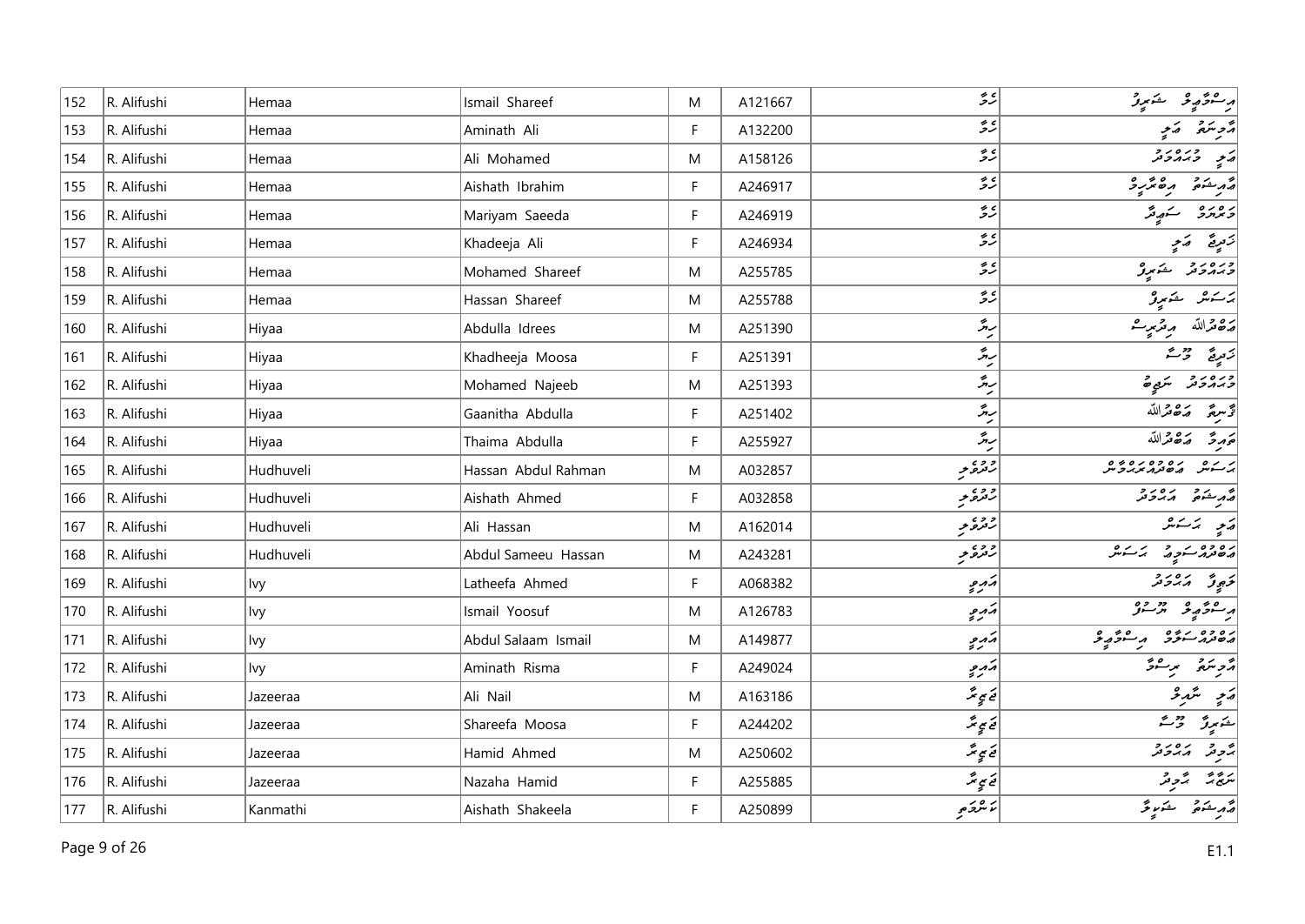| 152 | R. Alifushi | Hemaa     | Ismail Shareef      | M  | A121667 | ژیڅ                     | رە ئەر ئەر ئىسىر<br>مەسىر ئەرگە                                         |
|-----|-------------|-----------|---------------------|----|---------|-------------------------|-------------------------------------------------------------------------|
| 153 | R. Alifushi | Hemaa     | Aminath Ali         | F. | A132200 | ژیڅ                     |                                                                         |
| 154 | R. Alifushi | Hemaa     | Ali Mohamed         | M  | A158126 | عربی                    | ړ دره د د                                                               |
| 155 | R. Alifushi | Hemaa     | Aishath Ibrahim     | F  | A246917 | ارْبْح                  |                                                                         |
| 156 | R. Alifushi | Hemaa     | Mariyam Saeeda      | F  | A246919 | ارْبْر                  | رەرە سەرتە                                                              |
| 157 | R. Alifushi | Hemaa     | Khadeeja Ali        | F  | A246934 | روٌ                     | رَمَرِيحَ - مَا تَحْ                                                    |
| 158 | R. Alifushi | Hemaa     | Mohamed Shareef     | M  | A255785 | رځ                      | وره دو در منگلمرمی در است.<br>احتداد کار منگلمرمی                       |
| 159 | R. Alifushi | Hemaa     | Hassan Shareef      | M  | A255788 | رمح                     | ىزىكىش ئىقلىرى                                                          |
| 160 | R. Alifushi | Hiyaa     | Abdulla Idrees      | M  | A251390 | رپڑ                     | رە دالله موترىيە -                                                      |
| 161 | R. Alifushi | Hiyaa     | Khadheeja Moosa     | F  | A251391 | رېژ                     | تزميعً وللمستخرج                                                        |
| 162 | R. Alifushi | Hiyaa     | Mohamed Najeeb      | M  | A251393 | ىرىتر                   | وره رو در پر د                                                          |
| 163 | R. Alifushi | Hiyaa     | Gaanitha Abdulla    | F  | A251402 | رېژ                     | تحسيحَ صَصْرَاللّه                                                      |
| 164 | R. Alifushi | Hiyaa     | Thaima Abdulla      | F  | A255927 | ىرىتر                   | تحريح وكافترالله                                                        |
| 165 | R. Alifushi | Hudhuveli | Hassan Abdul Rahman | M  | A032857 | و و ۽<br>رقر <i>و</i> م | ر ره ده ده ده ده و                                                      |
| 166 | R. Alifushi | Hudhuveli | Aishath Ahmed       | F  | A032858 | و و ،<br>رسره م         | أحمد شدة متحدد الملاحظ                                                  |
| 167 | R. Alifushi | Hudhuveli | Ali Hassan          | M  | A162014 | روء<br> رتروبر          | أەيم بركىش                                                              |
| 168 | R. Alifushi | Hudhuveli | Abdul Sameeu Hassan | M  | A243281 | و و ،<br>رتىرە م        | رەدە بردۇ برىك                                                          |
| 169 | R. Alifushi | Ivy       | Latheefa Ahmed      | F  | A068382 | برمرء                   | كموتى مددود                                                             |
| 170 | R. Alifushi | Ivy       | Ismail Yoosuf       | M  | A126783 | مەمرە                   | وستوضع المرسوم                                                          |
| 171 | R. Alifushi | Ivy       | Abdul Salaam Ismail | M  | A149877 | برمره                   | גם כם גובם נגישים בי                                                    |
| 172 | R. Alifushi | lvy       | Aminath Risma       | F  | A249024 | بروء                    | $rac{1}{2}$<br>$rac{1}{2}$<br>$rac{1}{2}$<br>$rac{1}{2}$<br>$rac{1}{2}$ |
| 173 | R. Alifushi | Jazeeraa  | Ali Nail            | M  | A163186 | تع یچ مگر               | ە ئەرگى                                                                 |
| 174 | R. Alifushi | Jazeeraa  | Shareefa Moosa      | F  | A244202 | ئے بی تَر               | ڪ مورگر<br>ح<br>وحرثه                                                   |
| 175 | R. Alifushi | Jazeeraa  | Hamid Ahmed         | M  | A250602 | ئىم پەتتر               | پە دەرە                                                                 |
| 176 | R. Alifushi | Jazeeraa  | Nazaha Hamid        | F  | A255885 | ئے سچ مگر               | أتترج بزور                                                              |
| 177 | R. Alifushi | Kanmathi  | Aishath Shakeela    | F  | A250899 | بزءبر                   | لمحرشة كالموقر                                                          |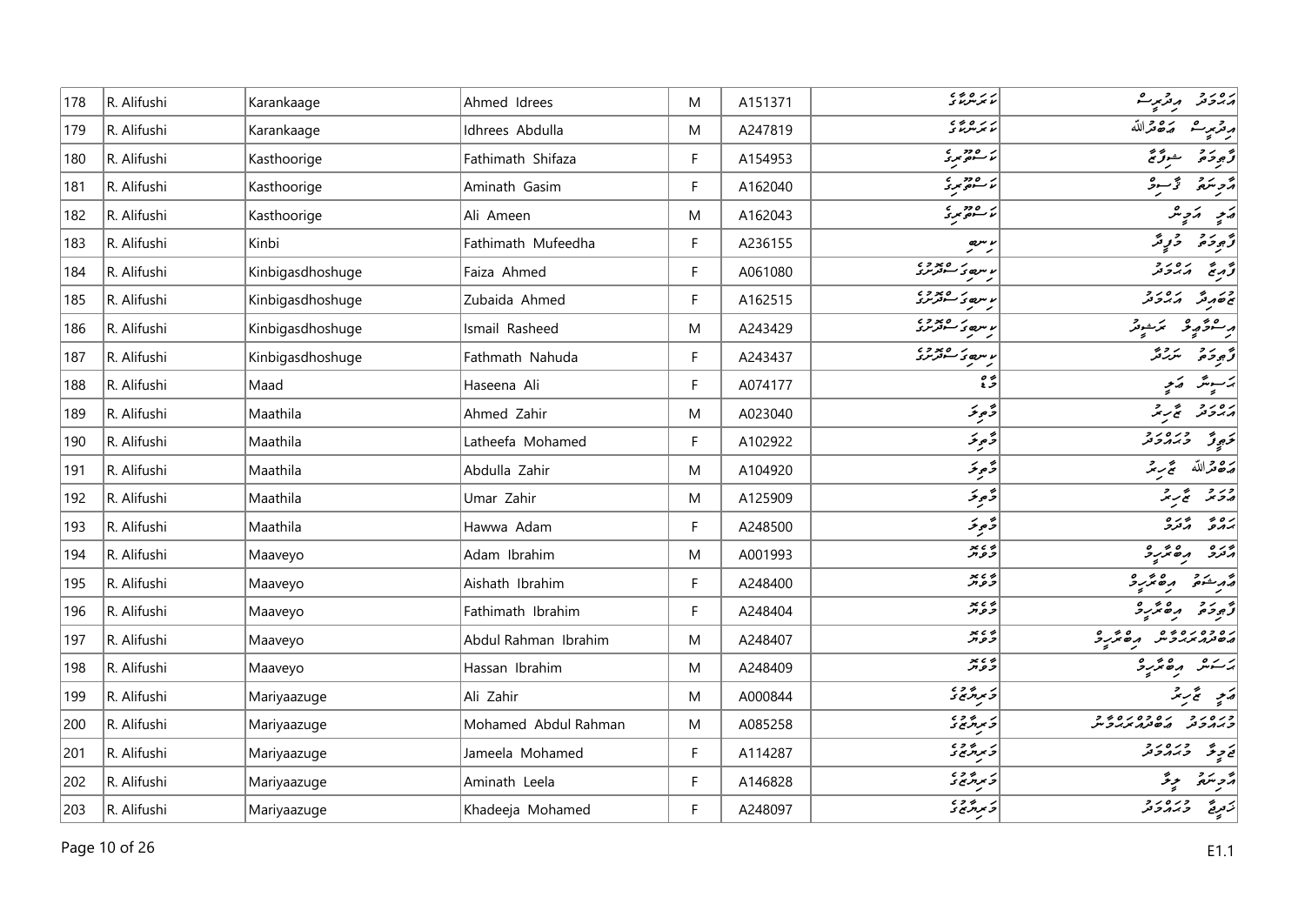| 178 | R. Alifushi | Karankaage       | Ahmed Idrees         | M           | A151371 | ر ره ۶۵<br>ما بر مرما د                         | ړ د د په مرتز پر شو                                                |
|-----|-------------|------------------|----------------------|-------------|---------|-------------------------------------------------|--------------------------------------------------------------------|
| 179 | R. Alifushi | Karankaage       | Idhrees Abdulla      | M           | A247819 | ر ر ه و »<br>ما <del>ب</del> رسرد د             | مقرمره مكافرالله                                                   |
| 180 | R. Alifushi | Kasthoorige      | Fathimath Shifaza    | F           | A154953 | ر ۶۶۵ و.<br>ما مسوده مرد                        | قَرْجِرَةُ شَرَقَّةً                                               |
| 181 | R. Alifushi | Kasthoorige      | Aminath Gasim        | F           | A162040 | ر ۶۶۵ و.<br>ما سوچ مرد                          | أروسي<br>ويج سب <i>و</i> د<br>ر                                    |
| 182 | R. Alifushi | Kasthoorige      | Ali Ameen            | M           | A162043 | ر ۶۶۵ ع<br>ما سسوم مرد                          | مأمو أمام المراج                                                   |
| 183 | R. Alifushi | Kinbi            | Fathimath Mufeedha   | F           | A236155 | ىر سرى<br>بر                                    | وَجِعِدَهُ وَرِيَّزٌ                                               |
| 184 | R. Alifushi | Kinbigasdhoshuge | Faiza Ahmed          | F           | A061080 | ر سرچ کے تعریف<br>مرسومی کے تعریف               | وٌمرِجٌ مَدَوَمَر                                                  |
| 185 | R. Alifushi | Kinbigasdhoshuge | Zubaida Ahmed        | F           | A162515 | <br>  پر سرچوکر سونوری<br>  پر سرچوکر سونوری    | כן שי גיביק<br>היסתית הגביק                                        |
| 186 | R. Alifushi | Kinbigasdhoshuge | Ismail Rasheed       | M           | A243429 | <br>  پا سرچ <sub>ک</sub> سوفر سری<br>  پ       |                                                                    |
| 187 | R. Alifushi | Kinbigasdhoshuge | Fathmath Nahuda      | F           | A243437 | ا رسر پر دی دی دی<br>ابر سرچ که مقرس دی<br>منبر | وحجمج وحمح<br>سرژنگر                                               |
| 188 | R. Alifushi | Maad             | Haseena Ali          | F           | A074177 | $\overset{\circ}{\mathcal{E}}$                  | پرسپنگ اورکمی                                                      |
| 189 | R. Alifushi | Maathila         | Ahmed Zahir          | M           | A023040 | ۇ ئەبۇ                                          | رەرد ئېرىز                                                         |
| 190 | R. Alifushi | Maathila         | Latheefa Mohamed     | $\mathsf F$ | A102922 | ۇ بۇ                                            | كروتر ورورد                                                        |
| 191 | R. Alifushi | Maathila         | Abdulla Zahir        | M           | A104920 | د څمو <del>ځ</del> ر                            | أَرَّةٍ قَدْ اللَّهُ ثُمَّ رَبَّدُ                                 |
| 192 | R. Alifushi | Maathila         | Umar Zahir           | M           | A125909 | ۇ <sub>م</sub> وخ                               | پچ په چې<br>و ر و<br>در س                                          |
| 193 | R. Alifushi | Maathila         | Hawwa Adam           | F           | A248500 | قرُّ مرِ مَرَ                                   | برەپچ<br>پور ہ<br>مرکزو                                            |
| 194 | R. Alifushi | Maaveyo          | Adam Ibrahim         | M           | A001993 | یز 2 مز<br>تر <i>و</i> تر                       | پر رہ<br>درگر<br>برە ئۆرۈ                                          |
| 195 | R. Alifushi | Maaveyo          | Aishath Ibrahim      | F           | A248400 | پر پر بر<br>تر <i>ور</i>                        | دە ئەرد<br>پ <sup>و</sup> پر ځوه<br>پر ک                           |
| 196 | R. Alifushi | Maaveyo          | Fathimath Ibrahim    | F           | A248404 | پر پر<br>تر وتر                                 | ەھ ترىر<br>و په پر د                                               |
| 197 | R. Alifushi | Maaveyo          | Abdul Rahman Ibrahim | M           | A248407 | پر پر بر<br>تر <i>و</i> تر                      | ره وه ره ده و<br>پره تربر تر ش<br>ە ھەترىر 2<br>برھىترىر 2         |
| 198 | R. Alifushi | Maaveyo          | Hassan Ibrahim       | M           | A248409 | پو ۽ بيو<br>حرا <i>فر</i>                       | برسكس مرەمخرىر                                                     |
| 199 | R. Alifushi | Mariyaazuge      | Ali Zahir            | M           | A000844 | ر<br>تر سر پر می د                              | أەسمجە ستى سرىتىل                                                  |
| 200 | R. Alifushi | Mariyaazuge      | Mohamed Abdul Rahman | M           | A085258 | ر<br>تر <sub>مرا</sub> تر بر د                  | و ر ه ر و<br><i>و ټ</i> رگر تر<br>ر ه وه ر ه د و<br>پره تربر تر بر |
| 201 | R. Alifushi | Mariyaazuge      | Jameela Mohamed      | F           | A114287 | ر<br>تر <sub>مرم</sub> ری د                     | و ره ر د<br><i>د ب</i> رگرفر<br>  تع حر تخر                        |
| 202 | R. Alifushi | Mariyaazuge      | Aminath Leela        | F.          | A146828 | ر<br>تر <sub>مرم</sub> ری د                     | أرمز<br>حريحر                                                      |
| 203 | R. Alifushi | Mariyaazuge      | Khadeeja Mohamed     | F           | A248097 | ر<br>تر سر پر می د                              | زَمْرِيحَ وَرَوْدُو                                                |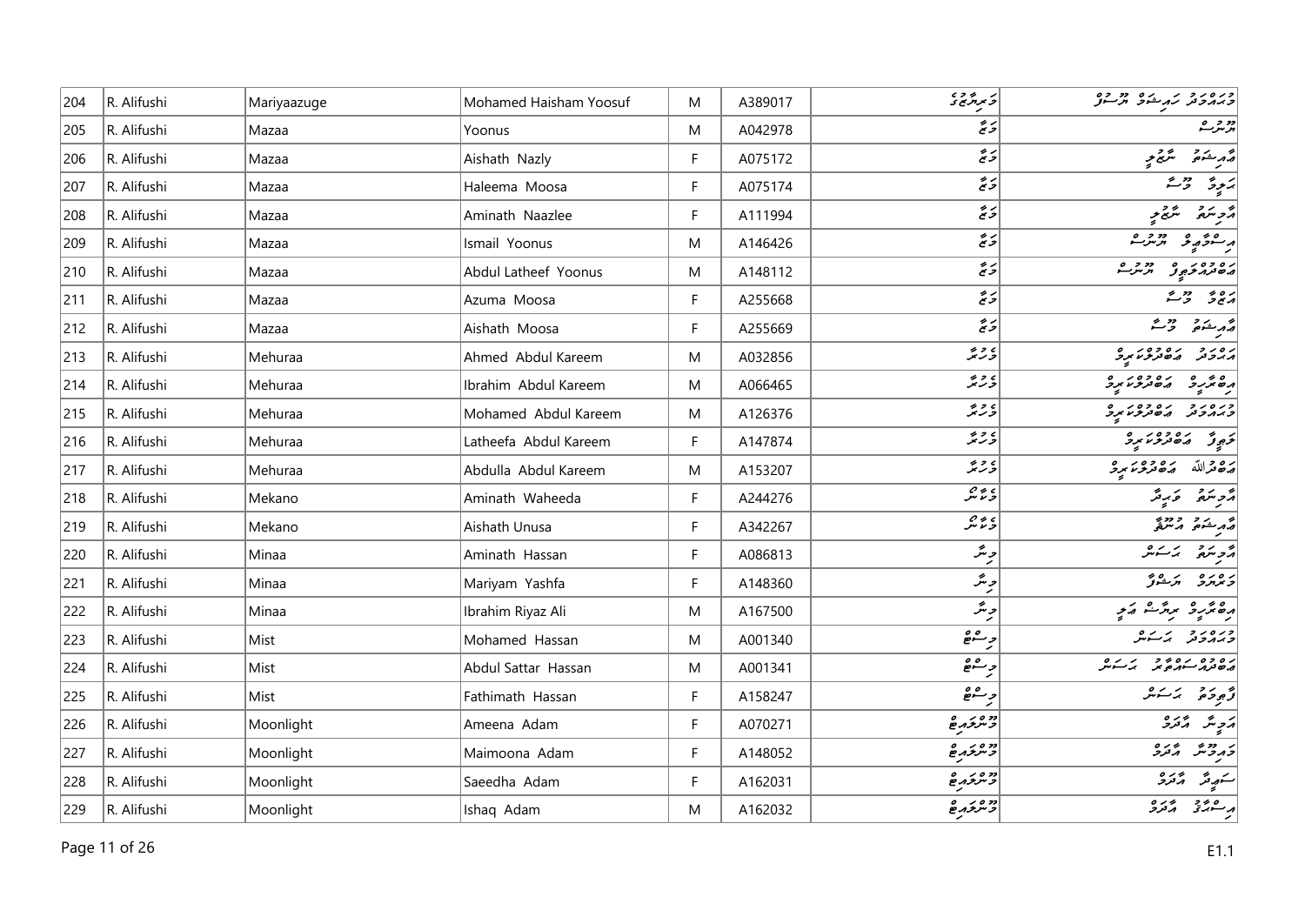| 204 | R. Alifushi | Mariyaazuge | Mohamed Haisham Yoosuf | M           | A389017 | ىز مرېژ ځ<br>د مرېژ ځ | ورەرو زېر شو د دە                            |
|-----|-------------|-------------|------------------------|-------------|---------|-----------------------|----------------------------------------------|
| 205 | R. Alifushi | Mazaa       | Yoonus                 | M           | A042978 | ريح                   | وديرعه                                       |
| 206 | R. Alifushi | Mazaa       | Aishath Nazly          | F           | A075172 | ریج                   | پ <sup>ې</sup> د شوې<br>مرد شوې<br>ىترىخ مېر |
| 207 | R. Alifushi | Mazaa       | Haleema Moosa          | F           | A075174 | ريح                   |                                              |
| 208 | R. Alifushi | Mazaa       | Aminath Naazlee        | $\mathsf F$ | A111994 | ترجح                  |                                              |
| 209 | R. Alifushi | Mazaa       | Ismail Yoonus          | M           | A146426 | ریج                   |                                              |
| 210 | R. Alifushi | Mazaa       | Abdul Latheef Yoonus   | M           | A148112 | ریج                   |                                              |
| 211 | R. Alifushi | Mazaa       | Azuma Moosa            | $\mathsf F$ | A255668 | ريح                   | رەپە دىم                                     |
| 212 | R. Alifushi | Mazaa       | Aishath Moosa          | F           | A255669 | ريح                   | ە ئەرسىسى ئۇڭ                                |
| 213 | R. Alifushi | Mehuraa     | Ahmed Abdul Kareem     | M           | A032856 | ی و پ <sub>یر</sub>   | גם גם גם כסגם.<br>גברינה השנקיפיו יקב        |
| 214 | R. Alifushi | Mehuraa     | Ibrahim Abdul Kareem   | M           | A066465 | ی و پی<br>حرمتر       | مصرير مصروميره                               |
| 215 | R. Alifushi | Mehuraa     | Mohamed Abdul Kareem   | M           | A126376 | ی و پی<br>حرمتر       | ورەرو رەدەر ە                                |
| 216 | R. Alifushi | Mehuraa     | Latheefa Abdul Kareem  | F           | A147874 | ې د بر<br>د رنگ       | د و ده ده دره و                              |
| 217 | R. Alifushi | Mehuraa     | Abdulla Abdul Kareem   | M           | A153207 | ی و پیچ<br>حرمتر      | رە داللە ھەمرومىي د                          |
| 218 | R. Alifushi | Mekano      | Aminath Waheeda        | $\mathsf F$ | A244276 | د پیمر                | أأروبتهم وكبيتر                              |
| 219 | R. Alifushi | Mekano      | Aishath Unusa          | F           | A342267 | <sup>ى پو</sup> تىر   | و مشتور دود.<br>مهر شتور مستر                |
| 220 | R. Alifushi | Minaa       | Aminath Hassan         | F           | A086813 | حريثر                 | أأرم المتوسك المركب مكر                      |
| 221 | R. Alifushi | Minaa       | Mariyam Yashfa         | F           | A148360 | حرمتش                 | رەرە پرەۋ                                    |
| 222 | R. Alifushi | Minaa       | Ibrahim Riyaz Ali      | M           | A167500 | الحبقم                | رەتمرىۋ برىژىن كەي                           |
| 223 | R. Alifushi | Mist        | Mohamed Hassan         | M           | A001340 | اديقظ                 | ورەرو بەلكە                                  |
| 224 | R. Alifushi | Mist        | Abdul Sattar Hassan    | M           | A001341 | دمشق                  | رە دە رەپ دېرى<br>مەھىرم سىمى بىر كىر        |
| 225 | R. Alifushi | Mist        | Fathimath Hassan       | $\mathsf F$ | A158247 | ارمقط                 | قرم و بريده                                  |
| 226 | R. Alifushi | Moonlight   | Ameena Adam            | F           | A070271 | وده ره<br>د سرگرم     | ړ په په پره                                  |
| 227 | R. Alifushi | Moonlight   | Maimoona Adam          | $\mathsf F$ | A148052 | وممركز مره            | בגמה הנס                                     |
| 228 | R. Alifushi | Moonlight   | Saeedha Adam           | F           | A162031 | أدوره                 | سە پەرتىر<br>ەگەترى                          |
| 229 | R. Alifushi | Moonlight   | Ishaq Adam             | M           | A162032 | وتمرزم                | در صبح و دره                                 |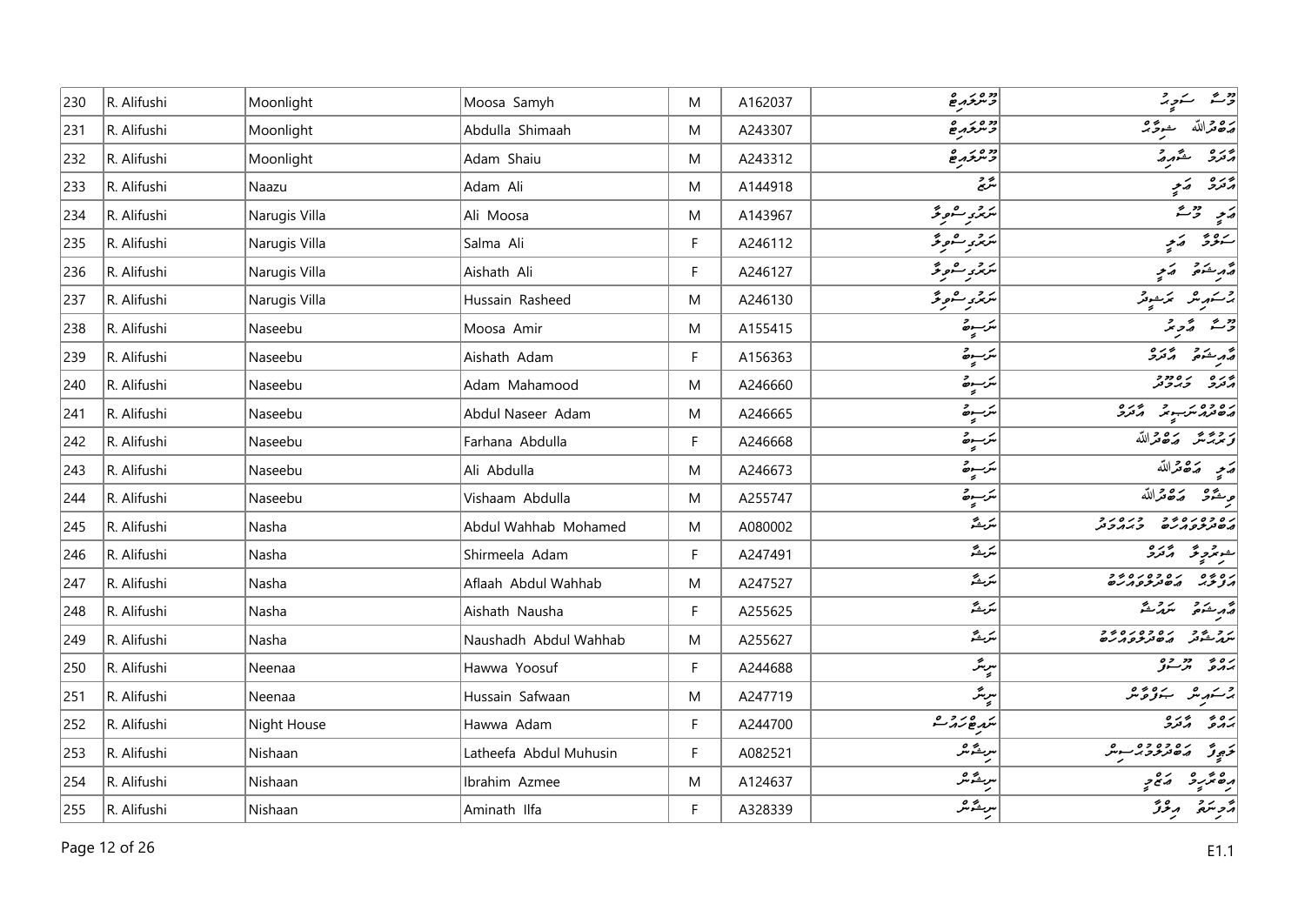| 230 | R. Alifushi | Moonlight     | Moosa Samyh            | M  | A162037 | وده ره<br>د سرگرم                                   | ده شمېر د                                             |
|-----|-------------|---------------|------------------------|----|---------|-----------------------------------------------------|-------------------------------------------------------|
| 231 | R. Alifushi | Moonlight     | Abdulla Shimaah        | M  | A243307 | وممرخره                                             | <mark>بر22</mark> مرالله<br>$25 -$                    |
| 232 | R. Alifushi | Moonlight     | Adam Shaiu             | M  | A243312 | لتشريخهم                                            | پور ہ<br>مرمر<br>يستمره                               |
| 233 | R. Alifushi | Naazu         | Adam Ali               | M  | A144918 | سرح                                                 | پور ہ<br>پر تعری<br>ەنىيە                             |
| 234 | R. Alifushi | Narugis Villa | Ali Moosa              | M  | A143967 | ير چ <sub>رم</sub> مش <sub>موقت</sub> ر<br>  سيسمير | ر ديگر ديگر<br>د سر                                   |
| 235 | R. Alifushi | Narugis Villa | Salma Ali              | F  | A246112 | ىئرىز <sub>ىر</sub> سى <sub>مو</sub> ىتى            | جَوْدٌ الْمَجِ                                        |
| 236 | R. Alifushi | Narugis Villa | Aishath Ali            | F  | A246127 | ىئر <i>پرېمو سىمو</i> ئۇ                            |                                                       |
| 237 | R. Alifushi | Narugis Villa | Hussain Rasheed        | M  | A246130 | ىئەتمىر <u>ش</u> وقر                                |                                                       |
| 238 | R. Alifushi | Naseebu       | Moosa Amir             | M  | A155415 | ىكەسىرە<br>ئ                                        |                                                       |
| 239 | R. Alifushi | Naseebu       | Aishath Adam           | F. | A156363 | ىئەسەدە<br>ئ                                        | و شهر و دره<br>مگهر شهره محمد                         |
| 240 | R. Alifushi | Naseebu       | Adam Mahamood          | M  | A246660 | ىئەسەدە<br>ئ                                        | و ره ده دو و<br>د ترو د بر و تر                       |
| 241 | R. Alifushi | Naseebu       | Abdul Naseer Adam      | M  | A246665 | ىكەسىدە<br>ئ                                        | גם בסתיית בינים                                       |
| 242 | R. Alifushi | Naseebu       | Farhana Abdulla        | F  | A246668 | ىكەسىدە<br>ئ                                        | ترجيحة مكافرالله                                      |
| 243 | R. Alifushi | Naseebu       | Ali Abdulla            | M  | A246673 | ىكەسىدە<br>ئ                                        | أته متصغرالله                                         |
| 244 | R. Alifushi | Naseebu       | Vishaam Abdulla        | M  | A255747 | ىكە سەھ<br>ئ                                        | مِشَرَّ رَصْرَاللَّه                                  |
| 245 | R. Alifushi | Nasha         | Abdul Wahhab Mohamed   | M  | A080002 | سَرْشَہُ                                            | ر 2000 000 00000<br>גי <i>ם تر تر 300 0000 0000</i>   |
| 246 | R. Alifushi | Nasha         | Shirmeela Adam         | F. | A247491 | سَرْشَہُ                                            | جونزوٍ ثَمَّ الْمُرْدُّ                               |
| 247 | R. Alifushi | Nasha         | Aflaah Abdul Wahhab    | M  | A247527 | سَرَحدٌ                                             | ره ده ده ده ده دو<br>د زمر شهر در م                   |
| 248 | R. Alifushi | Nasha         | Aishath Nausha         | F  | A255625 | سَرْشَہُ                                            | أقرم شوقه أسمع منشر                                   |
| 249 | R. Alifushi | Nasha         | Naushadh Abdul Wahhab  | M  | A255627 | سَرْشَہُ                                            | ر د په د په ده ده د د<br>سرم شونر په مورمومر <i>ت</i> |
| 250 | R. Alifushi | Neenaa        | Hawwa Yoosuf           | F  | A244688 | سریٹر                                               | رەپە دورە<br>برادى الرىسى                             |
| 251 | R. Alifushi | Neenaa        | Hussain Safwaan        | M  | A247719 | سریٹر                                               | چە سەر ھەر سەۋە ھەر                                   |
| 252 | R. Alifushi | Night House   | Hawwa Adam             | F  | A244700 | سَمَ <i> عَاشَرْ تَ</i>                             | ره په پره<br>برمو مګرد                                |
| 253 | R. Alifushi | Nishaan       | Latheefa Abdul Muhusin | F  | A082521 | اسريشير                                             | توروم دە دە دە ب                                      |
| 254 | R. Alifushi | Nishaan       | Ibrahim Azmee          | M  | A124637 | ا <sub>سریشم</sub> و<br>پ                           |                                                       |
| 255 | R. Alifushi | Nishaan       | Aminath Ilfa           | F  | A328339 | اسریشمر                                             | أأروبنهم ويحرقه                                       |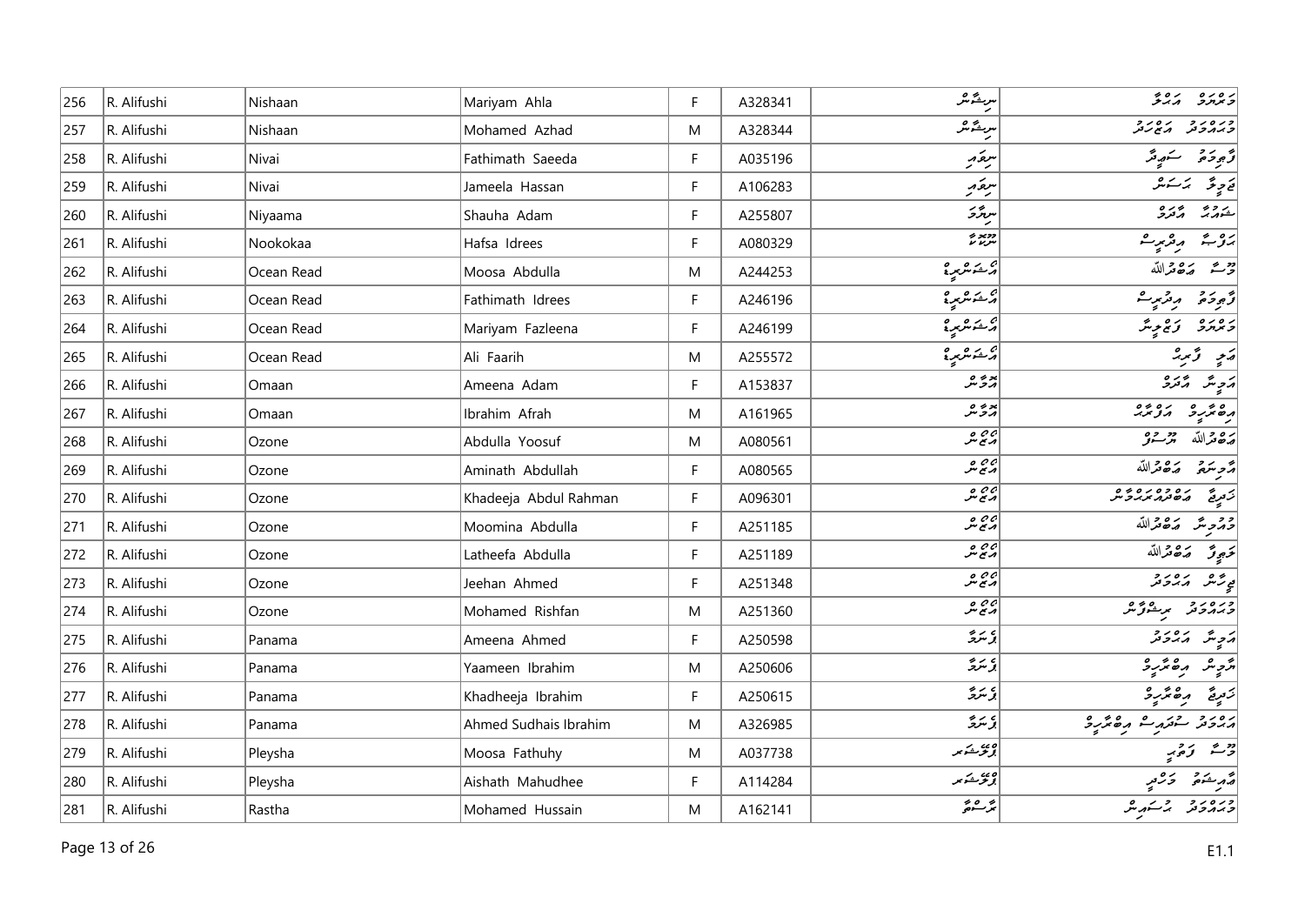| 256 | R. Alifushi | Nishaan    | Mariyam Ahla          | F  | A328341 | سرىشەشر                 | ره ره ده و                                                       |
|-----|-------------|------------|-----------------------|----|---------|-------------------------|------------------------------------------------------------------|
| 257 | R. Alifushi | Nishaan    | Mohamed Azhad         | M  | A328344 | سرىشەش                  | כנסנכ נסנכ                                                       |
| 258 | R. Alifushi | Nivai      | Fathimath Saeeda      | F. | A035196 | سرعه مر                 | قرموخرة مستمريته                                                 |
| 259 | R. Alifushi | Nivai      | Jameela Hassan        | F  | A106283 | سرعدمر                  | تجاريخ الكاشر                                                    |
| 260 | R. Alifushi | Niyaama    | Shauha Adam           | F  | A255807 | سردر                    | شەرق ئەرە                                                        |
| 261 | R. Alifushi | Nookokaa   | Hafsa Idrees          | F  | A080329 | ככמי זי<br>سربر بر      | بروية المرمر موسيات                                              |
| 262 | R. Alifushi | Ocean Read | Moosa Abdulla         | M  | A244253 | ە ئەكەنگە يەم<br>م      | 3- مَدْ مَدَاللّه                                                |
| 263 | R. Alifushi | Ocean Read | Fathimath Idrees      | F  | A246196 | پر <u>شریر مربع</u><br> | ومجوحة وفرمره                                                    |
| 264 | R. Alifushi | Ocean Read | Mariyam Fazleena      | F  | A246199 | لرشة مثربي              | دەرە زەرپە                                                       |
| 265 | R. Alifushi | Ocean Read | Ali Faarih            | M  | A255572 | ە ئەيمەرىيە<br>م        | أەير ومرير                                                       |
| 266 | R. Alifushi | Omaan      | Ameena Adam           | F  | A153837 | بر د م<br>مرح مثر       | أرْحِ مَدْ أَرْمَرُ حَ                                           |
| 267 | R. Alifushi | Omaan      | Ibrahim Afrah         | M  | A161965 | بر دی.<br>در حس         | ر ه و و ه<br>مرنو تنزیر<br>ە ھەترىرى<br>رەھىرىرى                 |
| 268 | R. Alifushi | Ozone      | Abdulla Yoosuf        | M  | A080561 | 20 صر<br>  مرسم مثر     | مَدْه مَرْ اللّه مَرْ - وهِ                                      |
| 269 | R. Alifushi | Ozone      | Aminath Abdullah      | F  | A080565 | 0 0 م<br>  مرسح مثر     | أمحر سنعمى وكالحدالله                                            |
| 270 | R. Alifushi | Ozone      | Khadeeja Abdul Rahman | F  | A096301 | 0.0 ء<br>  مربع مثر     | زىر ئەھەرەر ئە                                                   |
| 271 | R. Alifushi | Ozone      | Moomina Abdulla       | F  | A251185 | ە يە ھ<br>مەنبىر        | وويد حقوقه                                                       |
| 272 | R. Alifushi | Ozone      | Latheefa Abdulla      | F  | A251189 | پر چ پر<br>             | خبوقر مكافرالله                                                  |
| 273 | R. Alifushi | Ozone      | Jeehan Ahmed          | F  | A251348 | ەم چە<br>مەنتى          | و ده ده ده در د                                                  |
| 274 | R. Alifushi | Ozone      | Mohamed Rishfan       | M  | A251360 | 20 م<br> می مگر         | ورەرو پرېشوگر                                                    |
| 275 | R. Alifushi | Panama     | Ameena Ahmed          | F  | A250598 | ی پر پی                 | הכית הפנק                                                        |
| 276 | R. Alifushi | Panama     | Yaameen Ibrahim       | M  | A250606 | ی پر پر<br>بر سرچ       |                                                                  |
| 277 | R. Alifushi | Panama     | Khadheeja Ibrahim     | F  | A250615 | پۇ ئىرگە                | تزمريح مره مركز                                                  |
| 278 | R. Alifushi | Panama     | Ahmed Sudhais Ibrahim | M  | A326985 | ی پر پر<br>بر سرچ       | ו סור כות לי תפיאור                                              |
| 279 | R. Alifushi | Pleysha    | Moosa Fathuhy         | M  | A037738 | ە يەشەپر                | دو میں مقامتی ہے۔<br>احرا <sup>م</sup> کو تعلیم کا تعلیم کے مقام |
| 280 | R. Alifushi | Pleysha    | Aishath Mahudhee      | F  | A114284 | دی شکر مر               | أمار من والمحمد والمحمد                                          |
| 281 | R. Alifushi | Rastha     | Mohamed Hussain       | M  | A162141 | پۇ رەپچ                 | ورەرو ورىدىگ                                                     |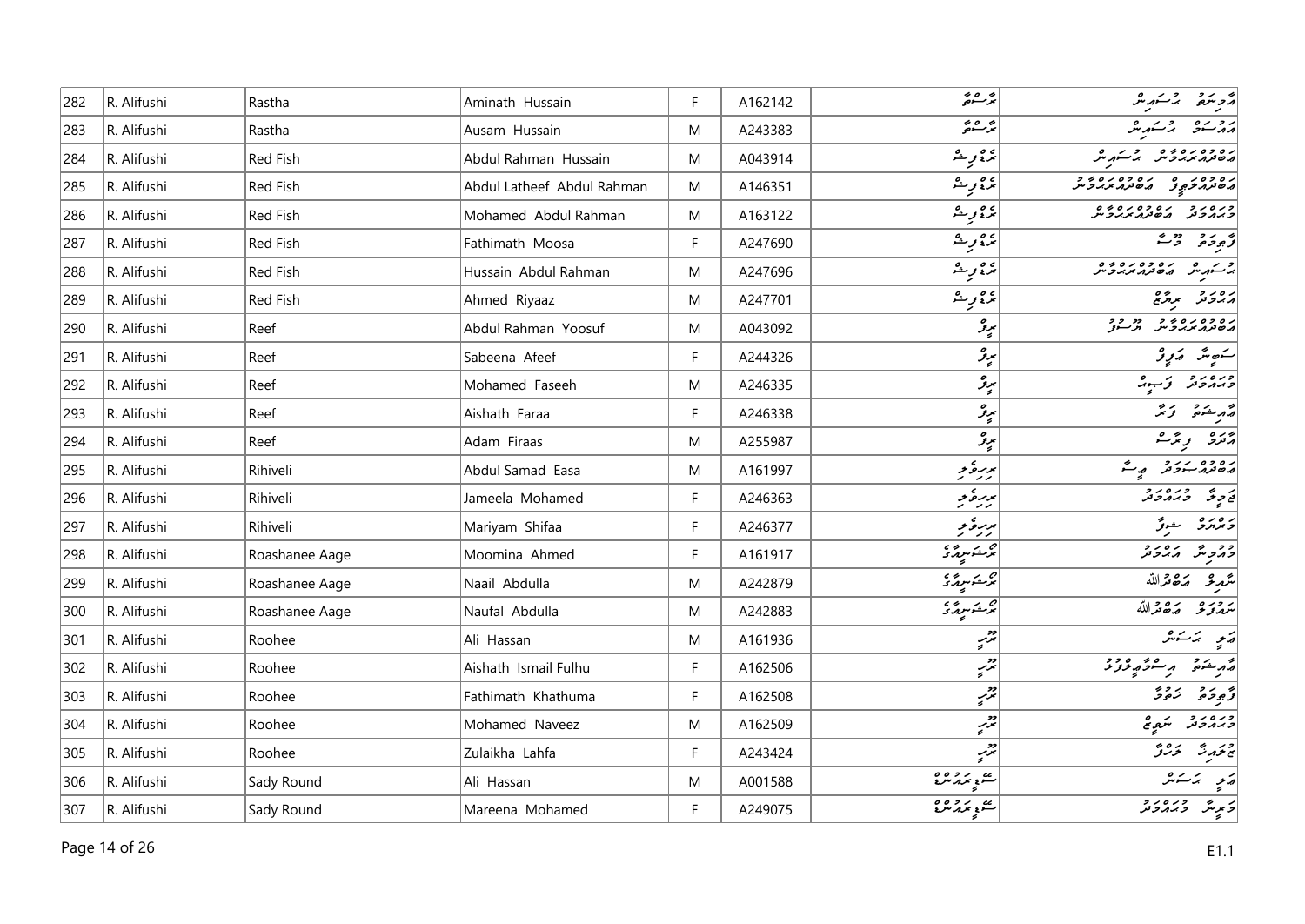| 282 | R. Alifushi | Rastha          | Aminath Hussain            | F | A162142 | پۇ رەپ<br>ئىرىسوە                                       | أأترجع المستريش                                                      |
|-----|-------------|-----------------|----------------------------|---|---------|---------------------------------------------------------|----------------------------------------------------------------------|
| 283 | R. Alifushi | Rastha          | Ausam Hussain              | M | A243383 | پر معر<br>مرسوم                                         | ىردىدە جەسىر ش                                                       |
| 284 | R. Alifushi | <b>Red Fish</b> | Abdul Rahman Hussain       | M | A043914 | بر؟ وبسر                                                | גם כם גם כם הכל הל                                                   |
| 285 | R. Alifushi | Red Fish        | Abdul Latheef Abdul Rahman | M | A146351 | پرہ ریشہ                                                | נסכננים נסכם נספ <del>ב.</del><br>גם <i>נגל</i> פל גם <i>נגדונית</i> |
| 286 | R. Alifushi | <b>Red Fish</b> | Mohamed Abdul Rahman       | M | A163122 | پرہ ریشہ                                                | وره رود ده وه ره ده ه<br>ح.په حرقه ده هره مربرخ س                    |
| 287 | R. Alifushi | <b>Red Fish</b> | Fathimath Moosa            | F | A247690 | <sup>ي و</sup> پر م <sup>م</sup>                        | قەردە دىسە                                                           |
| 288 | R. Alifushi | <b>Red Fish</b> | Hussain Abdul Rahman       | M | A247696 | پر ہم پویشہ                                             |                                                                      |
| 289 | R. Alifushi | <b>Red Fish</b> | Ahmed Riyaaz               | M | A247701 | <sup>ه ه</sup> پو <sup>ه</sup>                          | ړه د ته بروگړ                                                        |
| 290 | R. Alifushi | Reef            | Abdul Rahman Yoosuf        | M | A043092 | ىبرۇ                                                    | נסכסנסים כבכב<br>השינות <i>גגב</i> ית תיינ                           |
| 291 | R. Alifushi | Reef            | Sabeena Afeef              | F | A244326 | ىپەتر                                                   | سَمَعٍ شَرِ وَ وَ وَ وَ                                              |
| 292 | R. Alifushi | Reef            | Mohamed Faseeh             | M | A246335 | ىبەد                                                    | ورەرو كەيدۇ                                                          |
| 293 | R. Alifushi | Reef            | Aishath Faraa              | F | A246338 | ىبەد                                                    | و د شود کرنگ                                                         |
| 294 | R. Alifushi | Reef            | Adam Firaas                | M | A255987 | ىپەتر                                                   | وره وبڑے                                                             |
| 295 | R. Alifushi | Rihiveli        | Abdul Samad Easa           | M | A161997 | ىرر <sub>ئ</sub> ىجى<br>مەركى                           | ره وه رر و په ش                                                      |
| 296 | R. Alifushi | Rihiveli        | Jameela Mohamed            | F | A246363 | ىررى<br>ئرىر ئىر                                        | لي ويرور و                                                           |
| 297 | R. Alifushi | Rihiveli        | Mariyam Shifaa             | F | A246377 | بررؤو                                                   | د ۱۵ د وگر                                                           |
| 298 | R. Alifushi | Roashanee Aage  | Moomina Ahmed              | F | A161917 | ە<br>ئىرىشە س <sub>ى</sub> رىگە ئ                       | כביביות והוכנק                                                       |
| 299 | R. Alifushi | Roashanee Aage  | Naail Abdulla              | M | A242879 | جر شهر مرکز<br>مرگ                                      | شَهرِ هُه صَعْرَاللّه                                                |
| 300 | R. Alifushi | Roashanee Aage  | Naufal Abdulla             | M | A242883 | جر شهر مرکز<br>مرگ                                      | يتمعرف وكافرالله                                                     |
| 301 | R. Alifushi | Roohee          | Ali Hassan                 | M | A161936 | جزير                                                    | أرو بركند                                                            |
| 302 | R. Alifushi | Roohee          | Aishath Ismail Fulhu       | F | A162506 | دو<br>بور<br>د                                          |                                                                      |
| 303 | R. Alifushi | Roohee          | Fathimath Khathuma         | F | A162508 | ادر<br>مربر<br>-                                        | و ده ده و                                                            |
| 304 | R. Alifushi | Roohee          | Mohamed Naveez             | M | A162509 | $\begin{bmatrix} 1 & 1 \\ 1 & 1 \\ 1 & 1 \end{bmatrix}$ | ورەرو سەرە                                                           |
| 305 | R. Alifushi | Roohee          | Zulaikha Lahfa             | F | A243424 | $\begin{bmatrix} 1 \\ 1 \\ 1 \end{bmatrix}$             | يحركم تحركو                                                          |
| 306 | R. Alifushi | Sady Round      | Ali Hassan                 | M | A001588 | يم پر د ه ه<br>سند پر مرکز                              | أەي ئەسەھ                                                            |
| 307 | R. Alifushi | Sady Round      | Mareena Mohamed            | F | A249075 | يم پر <i>ج</i> ره شده و                                 | كە بەرەر بەر                                                         |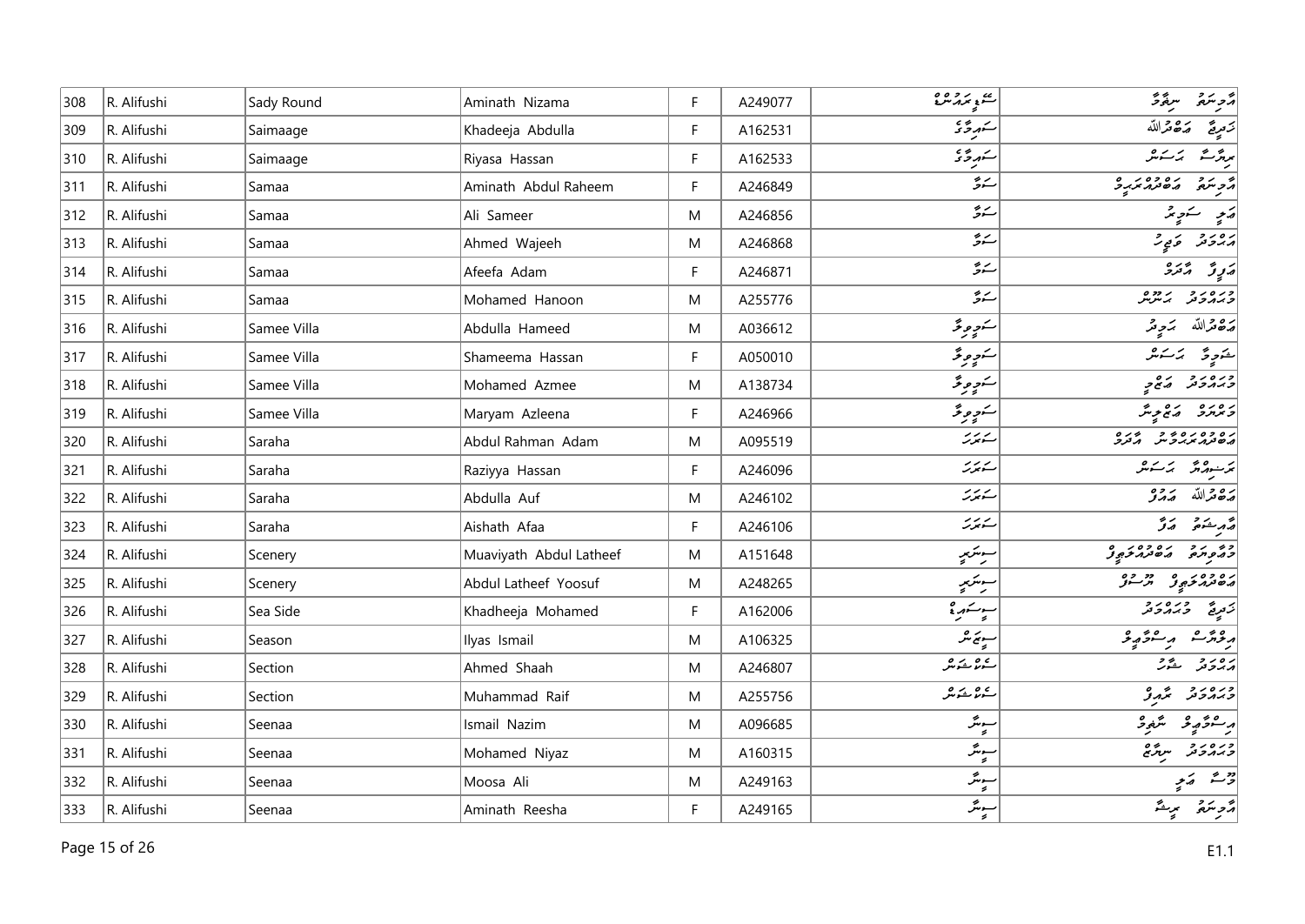| 308 | R. Alifushi | Sady Round  | Aminath Nizama          | F  | A249077 | سمو برد مرد م                 |                                                                                                                                                                                                                                                                                                                                 |
|-----|-------------|-------------|-------------------------|----|---------|-------------------------------|---------------------------------------------------------------------------------------------------------------------------------------------------------------------------------------------------------------------------------------------------------------------------------------------------------------------------------|
| 309 | R. Alifushi | Saimaage    | Khadeeja Abdulla        | F  | A162531 | سكهروء                        | تزميع وكامترالله                                                                                                                                                                                                                                                                                                                |
| 310 | R. Alifushi | Saimaage    | Riyasa Hassan           | F. | A162533 | سەرچە                         | بروَّے پرکش                                                                                                                                                                                                                                                                                                                     |
| 311 | R. Alifushi | Samaa       | Aminath Abdul Raheem    | F. | A246849 | سەۋ                           | ره وه ر ره<br>مگاهرمزبرگ<br>أثر وبترة                                                                                                                                                                                                                                                                                           |
| 312 | R. Alifushi | Samaa       | Ali Sameer              | M  | A246856 | سەۋ                           | $\begin{array}{c cc} 2 & 2 & 2 & 2 \\ \hline 2 & 2 & 2 & 2 \\ 2 & 2 & 2 & 2 & 2 \\ 2 & 2 & 2 & 2 & 2 \\ 2 & 2 & 2 & 2 & 2 \\ 2 & 2 & 2 & 2 & 2 \\ 2 & 2 & 2 & 2 & 2 \\ 2 & 2 & 2 & 2 & 2 \\ 2 & 2 & 2 & 2 & 2 \\ 2 & 2 & 2 & 2 & 2 \\ 2 & 2 & 2 & 2 & 2 \\ 2 & 2 & 2 & 2 & 2 \\ 2 & 2 & 2 & 2 & 2 \\ 2 & 2 & 2 & 2 & 2 \\ 2 & $ |
| 313 | R. Alifushi | Samaa       | Ahmed Wajeeh            | M  | A246868 | ستریخ                         |                                                                                                                                                                                                                                                                                                                                 |
| 314 | R. Alifushi | Samaa       | Afeefa Adam             | F  | A246871 | سەۋ                           | أركوتى أأردهم                                                                                                                                                                                                                                                                                                                   |
| 315 | R. Alifushi | Samaa       | Mohamed Hanoon          | M  | A255776 | سەبىج                         | ورەرو رەھ                                                                                                                                                                                                                                                                                                                       |
| 316 | R. Alifushi | Samee Villa | Abdulla Hameed          | M  | A036612 | سەر پەر                       | برە داللە بردىر                                                                                                                                                                                                                                                                                                                 |
| 317 | R. Alifushi | Samee Villa | Shameema Hassan         | F  | A050010 | سە <sub>جە</sub> بورگە<br>ئەم | شَرِيعٌ   يَاسَمْر                                                                                                                                                                                                                                                                                                              |
| 318 | R. Alifushi | Samee Villa | Mohamed Azmee           | M  | A138734 | سكوچە ئۇ                      | CIOIS 1979                                                                                                                                                                                                                                                                                                                      |
| 319 | R. Alifushi | Samee Villa | Maryam Azleena          | F  | A246966 | سەد ەڭر                       | د وره ده ديگر                                                                                                                                                                                                                                                                                                                   |
| 320 | R. Alifushi | Saraha      | Abdul Rahman Adam       | M  | A095519 | سەپەر                         | גם כם גם כב יכגם<br>השינה <i>גג</i> ליינה הינק                                                                                                                                                                                                                                                                                  |
| 321 | R. Alifushi | Saraha      | Raziyya Hassan          | F  | A246096 | سەپەر                         | ىرىنىدە ئەسكىل                                                                                                                                                                                                                                                                                                                  |
| 322 | R. Alifushi | Saraha      | Abdulla Auf             | M  | A246102 | سەپەر                         | بره د <sub>اللّه</sub> بروه                                                                                                                                                                                                                                                                                                     |
| 323 | R. Alifushi | Saraha      | Aishath Afaa            | F  | A246106 | ستعترت                        | مەرىشىمى مەتى                                                                                                                                                                                                                                                                                                                   |
| 324 | R. Alifushi | Scenery     | Muaviyath Abdul Latheef | M  | A151648 | سومئزمير                      | כל גב גם כסבר כל                                                                                                                                                                                                                                                                                                                |
| 325 | R. Alifushi | Scenery     | Abdul Latheef Yoosuf    | M  | A248265 | سەمىر<br>مەسىم                |                                                                                                                                                                                                                                                                                                                                 |
| 326 | R. Alifushi | Sea Side    | Khadheeja Mohamed       | F  | A162006 | سەسە<br>ئە                    | و ره ر و<br><i>د ب</i> رگرفر<br> ترموقح                                                                                                                                                                                                                                                                                         |
| 327 | R. Alifushi | Season      | Ilyas Ismail            | M  | A106325 | اسەي<br>يە                    | ە سەئۇر بۇ<br>بروژم                                                                                                                                                                                                                                                                                                             |
| 328 | R. Alifushi | Section     | Ahmed Shaah             | M  | A246807 | <u>عوره شرهر</u>              | برەر دەر                                                                                                                                                                                                                                                                                                                        |
| 329 | R. Alifushi | Section     | Muhammad Raif           | M  | A255756 | <u>ع ۾ شرم</u> ر              | وره دو په و                                                                                                                                                                                                                                                                                                                     |
| 330 | R. Alifushi | Seenaa      | Ismail Nazim            | M  | A096685 | سومتر                         | ىر شۇمۇ ئىسىمى<br>م                                                                                                                                                                                                                                                                                                             |
| 331 | R. Alifushi | Seenaa      | Mohamed Niyaz           | M  | A160315 | سەپىگە                        | כנסנב תוצם                                                                                                                                                                                                                                                                                                                      |
| 332 | R. Alifushi | Seenaa      | Moosa Ali               | M  | A249163 | سەپىگە                        | $\frac{1}{2}$ $\frac{2}{2}$                                                                                                                                                                                                                                                                                                     |
| 333 | R. Alifushi | Seenaa      | Aminath Reesha          | F  | A249165 | سەپىگە                        | أأدوسكم بريثة                                                                                                                                                                                                                                                                                                                   |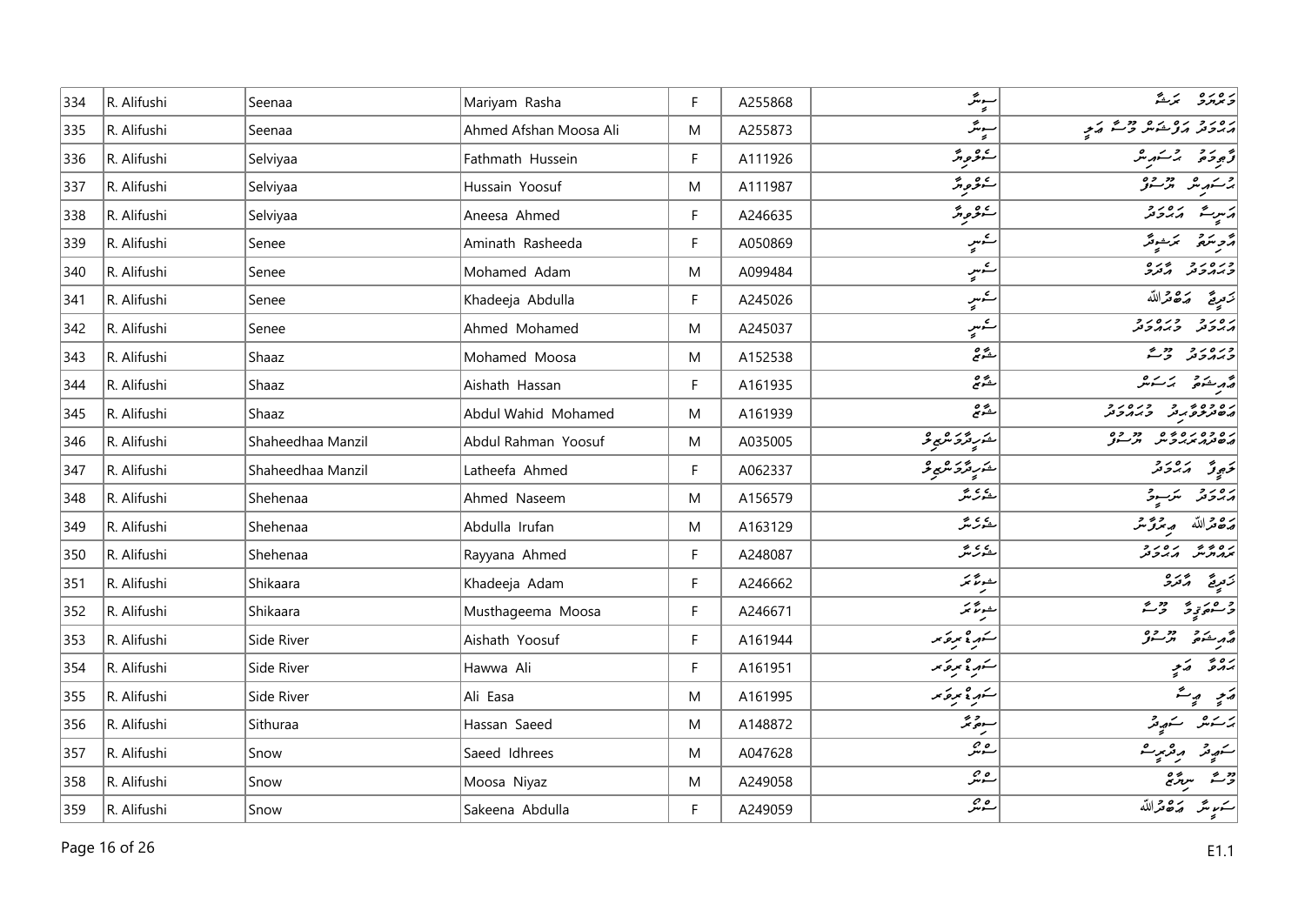| 334 | R. Alifushi | Seenaa            | Mariyam Rasha          | F  | A255868 | سىپىتر                     | ترەرە يەش                                                               |
|-----|-------------|-------------------|------------------------|----|---------|----------------------------|-------------------------------------------------------------------------|
| 335 | R. Alifushi | Seenaa            | Ahmed Afshan Moosa Ali | M  | A255873 | سەپىر                      | رەر دىرە دەر ھەر ئەر                                                    |
| 336 | R. Alifushi | Selviyaa          | Fathmath Hussein       | F. | A111926 | يحور پر                    | قرودة بمسكرهما                                                          |
| 337 | R. Alifushi | Selviyaa          | Hussain Yoosuf         | M  | A111987 | سوعورمحر                   | جە مەھرىق ھەم دەر يەر<br>بەلسىم بىر ھەم بىر                             |
| 338 | R. Alifushi | Selviyaa          | Aneesa Ahmed           | F  | A246635 | سكوهحو مرتز                | ړښ په دون                                                               |
| 339 | R. Alifushi | Senee             | Aminath Rasheeda       | F  | A050869 | ئەبىر                      | أأترسكم أتكر المستوفي                                                   |
| 340 | R. Alifushi | Senee             | Mohamed Adam           | M  | A099484 | ع<br>س                     | وره رو په ده<br><i>وبرو</i> ونو م <i>ور</i> و                           |
| 341 | R. Alifushi | Senee             | Khadeeja Abdulla       | F  | A245026 | ع<br>په                    | كتعييق ضكاه تمرالله                                                     |
| 342 | R. Alifushi | Senee             | Ahmed Mohamed          | M  | A245037 | ع<br>س                     | ג סגב בג סגב<br>הגבע בגהבע                                              |
| 343 | R. Alifushi | Shaaz             | Mohamed Moosa          | M  | A152538 | شەم                        | ورەر دور                                                                |
| 344 | R. Alifushi | Shaaz             | Aishath Hassan         | F. | A161935 | شەم                        | مەر خىم ئەسكىر                                                          |
| 345 | R. Alifushi | Shaaz             | Abdul Wahid Mohamed    | M  | A161939 | شەم                        |                                                                         |
| 346 | R. Alifushi | Shaheedhaa Manzil | Abdul Rahman Yoosuf    | M  | A035005 | ڪرپر ترڪ مربح تر           | גם כם גם זה כב כם<br>השינה גיגים יית ---                                |
| 347 | R. Alifushi | Shaheedhaa Manzil | Latheefa Ahmed         | F  | A062337 | ىش <i>ر بۇ</i> ر ئىرىمى ئى | كموتح مكافرة                                                            |
| 348 | R. Alifushi | Shehenaa          | Ahmed Naseem           | M  | A156579 | ري ج<br>مشور مگر           | رەر د سرگور                                                             |
| 349 | R. Alifushi | Shehenaa          | Abdulla Irufan         | M  | A163129 | ىشەر بىر                   | برە قرالله مەمزىمىتى                                                    |
| 350 | R. Alifushi | Shehenaa          | Rayyana Ahmed          | F  | A248087 | ے ئ <sup>ے</sup> مگر       | גם מי הפגב<br><i>ההתיית הגבת</i>                                        |
| 351 | R. Alifushi | Shikaara          | Khadeeja Adam          | F  | A246662 | ىشورتىمىز                  | زَمِرِيَّ , دُمَرَدُ                                                    |
| 352 | R. Alifushi | Shikaara          | Musthageema Moosa      | F  | A246671 | ىشور <i>ة ئى</i> ر         | و متموت <sub>و</sub> د و در م                                           |
| 353 | R. Alifushi | Side River        | Aishath Yoosuf         | F  | A161944 | سكور ؟ مرعُ مر             | $\begin{array}{cc} 0.2 & 2 & 2 \\ 0.2 & 2 & 2 \\ 0 & 0 & 0 \end{array}$ |
| 354 | R. Alifushi | Side River        | Hawwa Ali              | F  | A161951 | سأدع بروكر                 | $57 - 597$                                                              |
| 355 | R. Alifushi | Side River        | Ali Easa               | M  | A161995 | سكور ؟ مرعُ مر             | ر<br>موج ميگ                                                            |
| 356 | R. Alifushi | Sithuraa          | Hassan Saeed           | M  | A148872 | سوە ئەتتە                  | بركش سكريد                                                              |
| 357 | R. Alifushi | Snow              | Saeed Idhrees          | M  | A047628 | سەيىر                      |                                                                         |
| 358 | R. Alifushi | Snow              | Moosa Niyaz            | M  | A249058 | شەپىر                      |                                                                         |
| 359 | R. Alifushi | Snow              | Sakeena Abdulla        | F  | A249059 | سەير                       | أَسَمَٰ مِنْ مَدَّدْ اللَّهُ                                            |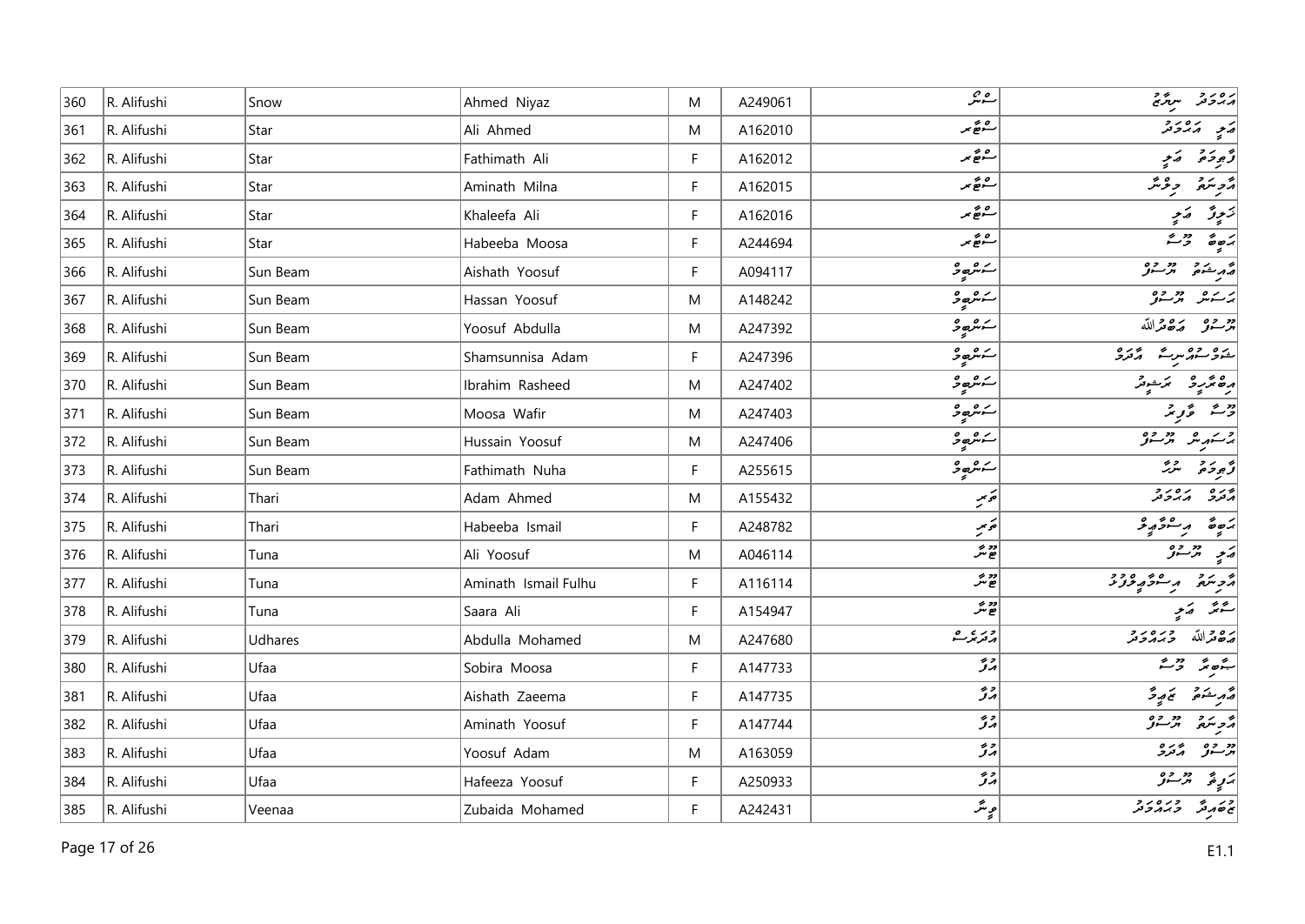|     |             |          |                      |             |         | سەيىر                       |                                           |
|-----|-------------|----------|----------------------|-------------|---------|-----------------------------|-------------------------------------------|
| 360 | R. Alifushi | Snow     | Ahmed Niyaz          | M           | A249061 |                             | أرور و سرگرم                              |
| 361 | R. Alifushi | Star     | Ali Ahmed            | M           | A162010 | <u>ه ءُ</u> بر              | ړی پره ده                                 |
| 362 | R. Alifushi | Star     | Fathimath Ali        | F           | A162012 | ره پچ بر                    | ومجودة الأمي                              |
| 363 | R. Alifushi | Star     | Aminath Milna        | F.          | A162015 | ە ئەھمىر                    | أأدينهم وكلا                              |
| 364 | R. Alifushi | Star     | Khaleefa Ali         | F           | A162016 | سوڭىر                       | $\frac{2}{3}$<br>ەنىيە                    |
| 365 | R. Alifushi | Star     | Habeeba Moosa        | F           | A244694 | سوڭىر                       | حز مستثر                                  |
| 366 | R. Alifushi | Sun Beam | Aishath Yoosuf       | F.          | A094117 | سەمگە ۋ                     | و مشتره در ده و ده<br>مرگ                 |
| 367 | R. Alifushi | Sun Beam | Hassan Yoosuf        | M           | A148242 | سەمپە                       | برسەش دىر يوم                             |
| 368 | R. Alifushi | Sun Beam | Yoosuf Abdulla       | M           | A247392 | سەھەر                       | وديع وكامرالله                            |
| 369 | R. Alifushi | Sun Beam | Shamsunnisa Adam     | $\mathsf F$ | A247396 | سەھەر                       |                                           |
| 370 | R. Alifushi | Sun Beam | Ibrahim Rasheed      | M           | A247402 | ر<br>سەنئەھ <sub>ۇ</sub> ر  | رەنزىر ئىشىر                              |
| 371 | R. Alifushi | Sun Beam | Moosa Wafir          | M           | A247403 | ر<br>سەنگە ھ                | 252                                       |
| 372 | R. Alifushi | Sun Beam | Hussain Yoosuf       | M           | A247406 | ر<br>سەنگە ئ <sup>ە</sup> ر |                                           |
| 373 | R. Alifushi | Sun Beam | Fathimath Nuha       | F           | A255615 | ر<br>سەنبەھ                 | و محمد المحمد المحمد المحمد               |
| 374 | R. Alifushi | Thari    | Adam Ahmed           | Μ           | A155432 | ځومبر                       | وره ره رو<br>مګرد مرکزونر                 |
| 375 | R. Alifushi | Thari    | Habeeba Ismail       | F           | A248782 | ځومبر                       |                                           |
| 376 | R. Alifushi | Tuna     | Ali Yoosuf           | M           | A046114 | دد پر<br>ح                  |                                           |
| 377 | R. Alifushi | Tuna     | Aminath Ismail Fulhu | F           | A116114 | دد پر<br>ج                  | ړوشته و مشوه ووود.<br>د د سره و مشوه ووود |
| 378 | R. Alifushi | Tuna     | Saara Ali            | F.          | A154947 | تقریبگر                     |                                           |
| 379 | R. Alifushi | Udhares  | Abdulla Mohamed      | M           | A247680 | د ر ، م<br>مرمرسه           | ورورو<br>مَصْعَراللّه                     |
| 380 | R. Alifushi | Ufaa     | Sobira Moosa         | $\mathsf F$ | A147733 | دبج                         | بثوثر المحمش                              |
| 381 | R. Alifushi | Ufaa     | Aishath Zaeema       | F           | A147735 | پۇ                          | وكرمشق تموقه                              |
| 382 | R. Alifushi | Ufaa     | Aminath Yoosuf       | F.          | A147744 | پۇ                          |                                           |
| 383 | R. Alifushi | Ufaa     | Yoosuf Adam          | M           | A163059 | دبج                         | در حرو<br>پھر ہ<br>مرکز                   |
| 384 | R. Alifushi | Ufaa     | Hafeeza Yoosuf       | $\mathsf F$ | A250933 | پۇ                          | ېز <sub>ونځی</sub> مرحبو                  |
| 385 | R. Alifushi | Veenaa   | Zubaida Mohamed      | F.          | A242431 | حيٍتثر                      | ح حقد مده دره د                           |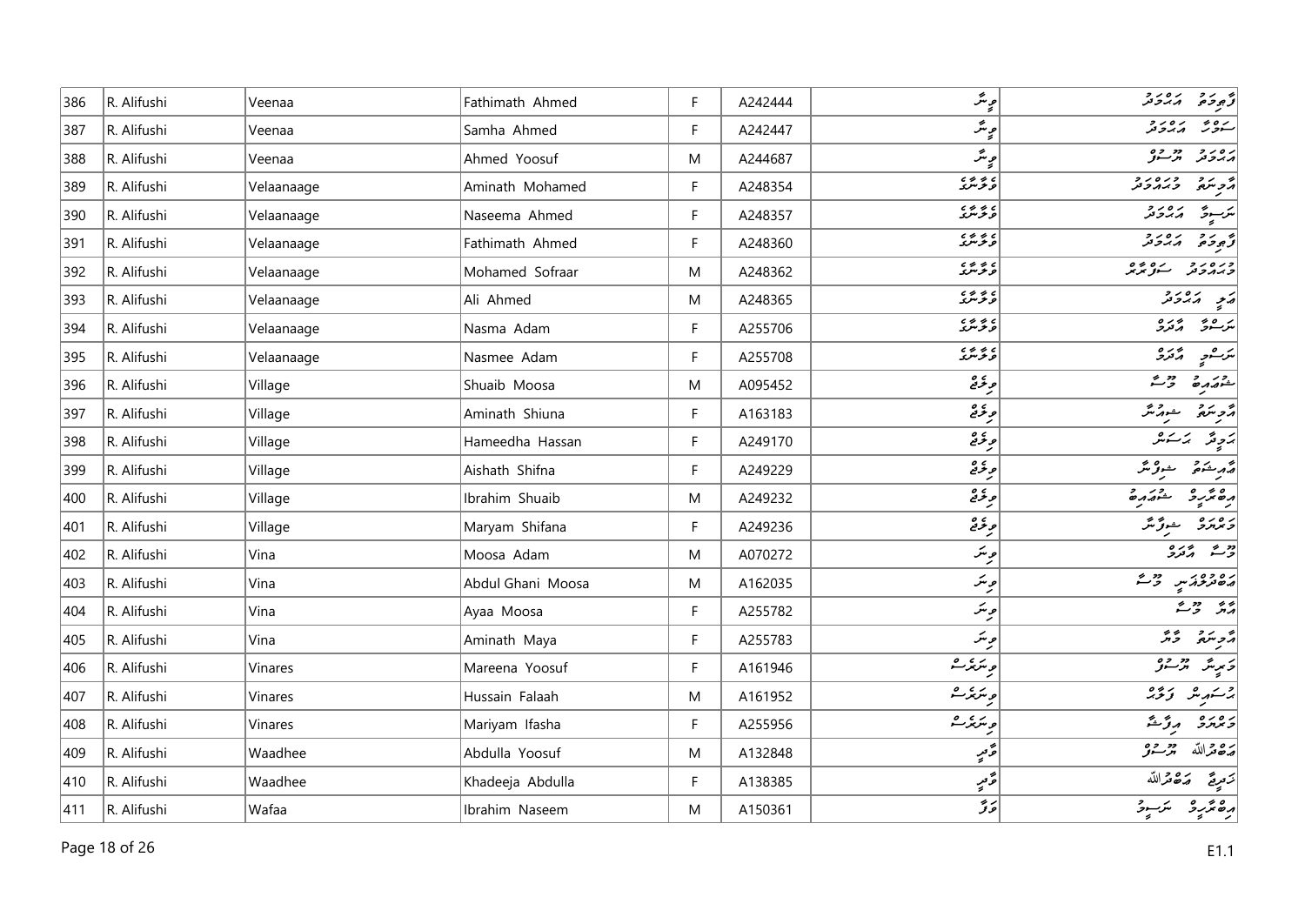| 386 | R. Alifushi | Veenaa     | Fathimath Ahmed   | $\mathsf F$ | A242444 | عٍ بتَر                      | 5,00,00,00,00,00,00,00,0                                                                                     |
|-----|-------------|------------|-------------------|-------------|---------|------------------------------|--------------------------------------------------------------------------------------------------------------|
| 387 | R. Alifushi | Veenaa     | Samha Ahmed       | $\mathsf F$ | A242447 | حيٍسٌر                       | ستوثر برەر د                                                                                                 |
| 388 | R. Alifushi | Veenaa     | Ahmed Yoosuf      | M           | A244687 | حيثر                         | رەر دەرە                                                                                                     |
| 389 | R. Alifushi | Velaanaage | Aminath Mohamed   | F           | A248354 | ، پژپړې<br>حرنځس             | و رە ر د<br><i>د بە</i> گەر<br>أزوبترة                                                                       |
| 390 | R. Alifushi | Velaanaage | Naseema Ahmed     | $\mathsf F$ | A248357 | ) ، پو ، ،<br> وڅرس          | بر 2 ر 1<br>م <i>ر</i> بر <del>د</del> تر<br>ىئرسىدۇ                                                         |
| 391 | R. Alifushi | Velaanaage | Fathimath Ahmed   | $\mathsf F$ | A248360 | ، پژپړې<br>حرنځس             | و دو ده دو                                                                                                   |
| 392 | R. Alifushi | Velaanaage | Mohamed Sofraar   | M           | A248362 | ړ د د ،<br>و <del>و</del> سر | و ر ه ر د<br>تر پر ژ تر<br>سەۋىترىر                                                                          |
| 393 | R. Alifushi | Velaanaage | Ali Ahmed         | M           | A248365 | ړ د د ،<br>و نرس             | أەيد مەردى                                                                                                   |
| 394 | R. Alifushi | Velaanaage | Nasma Adam        | $\mathsf F$ | A255706 | ، پژپړې<br>حرنځس             | ىر قەق ئەرە                                                                                                  |
| 395 | R. Alifushi | Velaanaage | Nasmee Adam       | $\mathsf F$ | A255708 | ، پر پر<br>و <del>فر</del> س | پھر ہ<br>مرکز تر<br> پرَڪْر                                                                                  |
| 396 | R. Alifushi | Village    | Shuaib Moosa      | M           | A095452 | حرقرقع                       | شوره وحث                                                                                                     |
| 397 | R. Alifushi | Village    | Aminath Shiuna    | F           | A163183 | ه و بود<br>م                 | ۇ ئەسكە ئەسىسىسىگە                                                                                           |
| 398 | R. Alifushi | Village    | Hameedha Hassan   | F           | A249170 | حريحرقع                      | ىكاچاقى ئەسكەنلەر                                                                                            |
| 399 | R. Alifushi | Village    | Aishath Shifna    | $\mathsf F$ | A249229 | حريحوهم                      | ۇرىشكى ئىرۇش                                                                                                 |
| 400 | R. Alifushi | Village    | Ibrahim Shuaib    | M           | A249232 | حريحي                        | גפת כ בינגב                                                                                                  |
| 401 | R. Alifushi | Village    | Maryam Shifana    | F           | A249236 | ء ءڻ<br>م                    | رەرە خوگس                                                                                                    |
| 402 | R. Alifushi | Vina       | Moosa Adam        | M           | A070272 | حرمتر                        |                                                                                                              |
| 403 | R. Alifushi | Vina       | Abdul Ghani Moosa | M           | A162035 | حيسكر                        | ره وه در دور محمد استان به استان باشد.<br>مصر در در محمد استان براستان براستان براستان براستان براستان براسی |
| 404 | R. Alifushi | Vina       | Ayaa Moosa        | F           | A255782 | حيسكر                        | پر پی مشرح میں شرکت کے ملکت اور میں ترکیدات<br>مرکز میں سرکار کے ملک                                         |
| 405 | R. Alifushi | Vina       | Aminath Maya      | F           | A255783 | حريتر                        | رځينگ<br>أروسي                                                                                               |
| 406 | R. Alifushi | Vinares    | Mareena Yoosuf    | $\mathsf F$ | A161946 | اءِ پرَ پُرِ مِ              | ىر پىر مەردە<br>ئ                                                                                            |
| 407 | R. Alifushi | Vinares    | Hussain Falaah    | M           | A161952 | اوپرندم                      | يزحكر يحر وتحرجر                                                                                             |
| 408 | R. Alifushi | Vinares    | Mariyam Ifasha    | F           | A255956 | وبئر پڑ گے                   | دەرە مۇش                                                                                                     |
| 409 | R. Alifushi | Waadhee    | Abdulla Yoosuf    | M           | A132848 | ر<br>حگي                     | رەت <sub>ىر</sub> اللە مرىج                                                                                  |
| 410 | R. Alifushi | Waadhee    | Khadeeja Abdulla  | $\mathsf F$ | A138385 | ر<br>حومرٍ                   | أنَّ مِنْ حَدَّةٌ اللَّهُ                                                                                    |
| 411 | R. Alifushi | Wafaa      | Ibrahim Naseem    | M           | A150361 | ىرتى                         |                                                                                                              |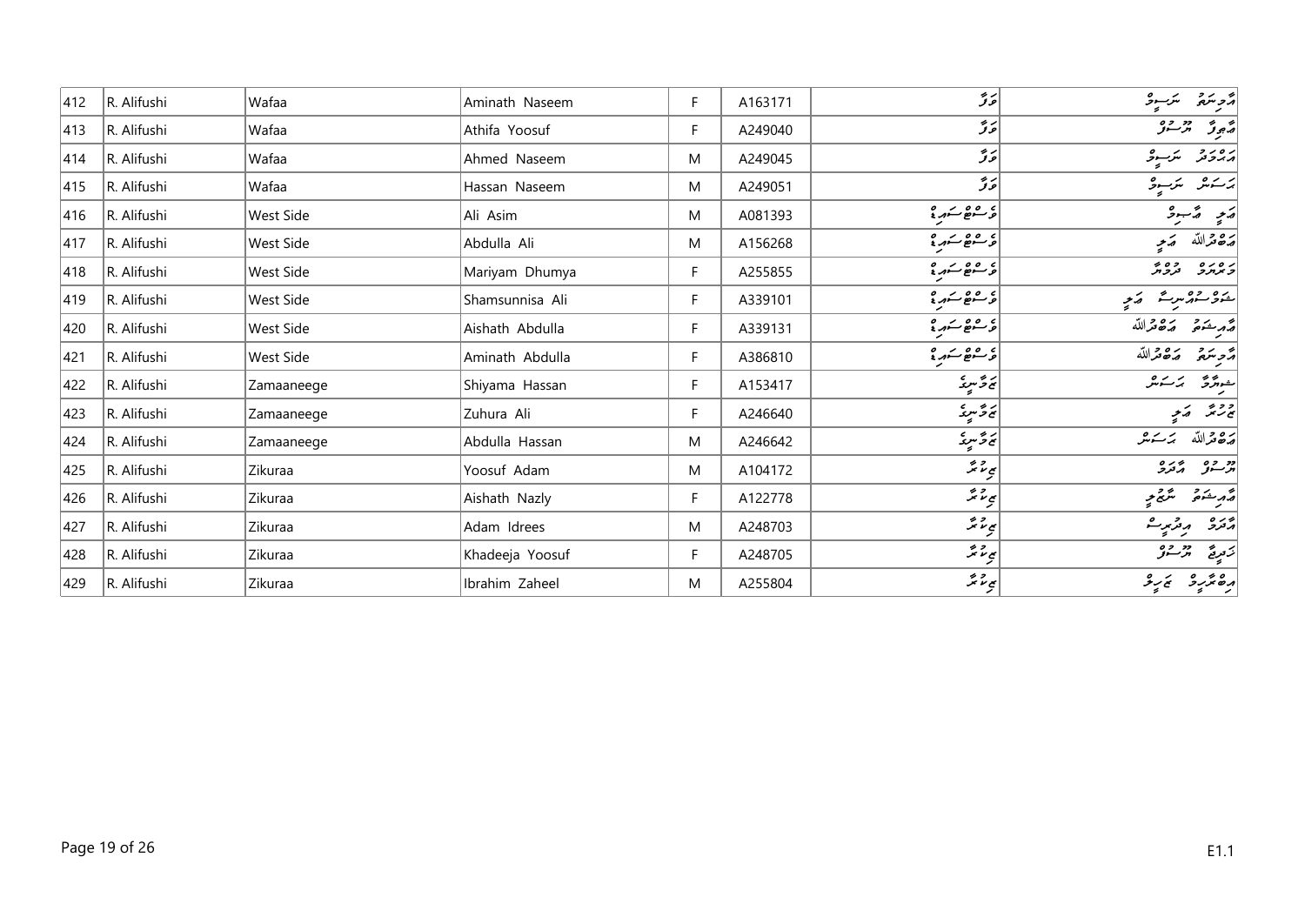| 412 | R. Alifushi | Wafaa            | Aminath Naseem  | F. | A163171 | ىرتى                          | ړم سره<br>ىئرسەۋ                                   |
|-----|-------------|------------------|-----------------|----|---------|-------------------------------|----------------------------------------------------|
| 413 | R. Alifushi | Wafaa            | Athifa Yoosuf   | F. | A249040 | ىرگ                           | وتبوقر<br>ېژىستۇ                                   |
| 414 | R. Alifushi | Wafaa            | Ahmed Naseem    | M  | A249045 | ء ژ                           | پرور و<br>سرسور                                    |
| 415 | R. Alifushi | Wafaa            | Hassan Naseem   | M  | A249051 | ئەتر                          | برسەمىر<br>ىئرسىدى                                 |
| 416 | R. Alifushi | <b>West Side</b> | Ali Asim        | M  | A081393 | ء صورے معامر و                | $rac{1}{2}$                                        |
| 417 | R. Alifushi | <b>West Side</b> | Abdulla Ali     | M  | A156268 | ء صورے معامر و                | پر <b>ص</b> حرالله<br>ەتىر                         |
| 418 | R. Alifushi | <b>West Side</b> | Mariyam Dhumya  | F  | A255855 | ء مصر عصر و                   | ر ه ر ه<br><del>ر</del> بربر ژ<br>و ه پر<br>ترو پژ |
| 419 | R. Alifushi | <b>West Side</b> | Shamsunnisa Ali | F. | A339101 | ء مصر عصر و                   | ىشەۋرىش <sub>ۇر</sub> سرىسە<br>رزمز                |
| 420 | R. Alifushi | <b>West Side</b> | Aishath Abdulla | F. | A339131 | ء مصر عصر و                   | أصمر مندم وكالله                                   |
| 421 | R. Alifushi | <b>West Side</b> | Aminath Abdulla | F  | A386810 | ء صورے معامرہ<br> حراقے مسلمہ | وكالقرالله<br>ړ د سرچ                              |
| 422 | R. Alifushi | Zamaaneege       | Shiyama Hassan  | F. | A153417 | ئەۋسىد                        | شەھرگە ئ<br>$\circ$ / /<br>برسوس                   |
| 423 | R. Alifushi | Zamaaneege       | Zuhura Ali      | F  | A246640 | ئے جٌ سرِ ئی                  | يربر كدبو                                          |
| 424 | R. Alifushi | Zamaaneege       | Abdulla Hassan  | M  | A246642 | ئەۋسىد                        | برە تراللە<br>برَسەمىر                             |
| 425 | R. Alifushi | Zikuraa          | Yoosuf Adam     | M  | A104172 | ىپى ئىگە                      | پور ہ<br>مرکز ژ<br>دو مه د ه<br>مرگ مو             |
| 426 | R. Alifushi | Zikuraa          | Aishath Nazly   | F  | A122778 | ىي ئەنگە                      | متزج مجر<br>پھر مشتر <i>ہ</i>                      |
| 427 | R. Alifushi | Zikuraa          | Adam Idrees     | M  | A248703 | ىپى ئىگە                      | پژنوژ<br>ىر قرىيە شە                               |
| 428 | R. Alifushi | Zikuraa          | Khadeeja Yoosuf | F. | A248705 | پر نزیمهٔ                     | ېژىستۇ<br>تزىرىقح                                  |
| 429 | R. Alifushi | Zikuraa          | Ibrahim Zaheel  | M  | A255804 | ہی نم تئر                     | رە ئرىر ئى ئ                                       |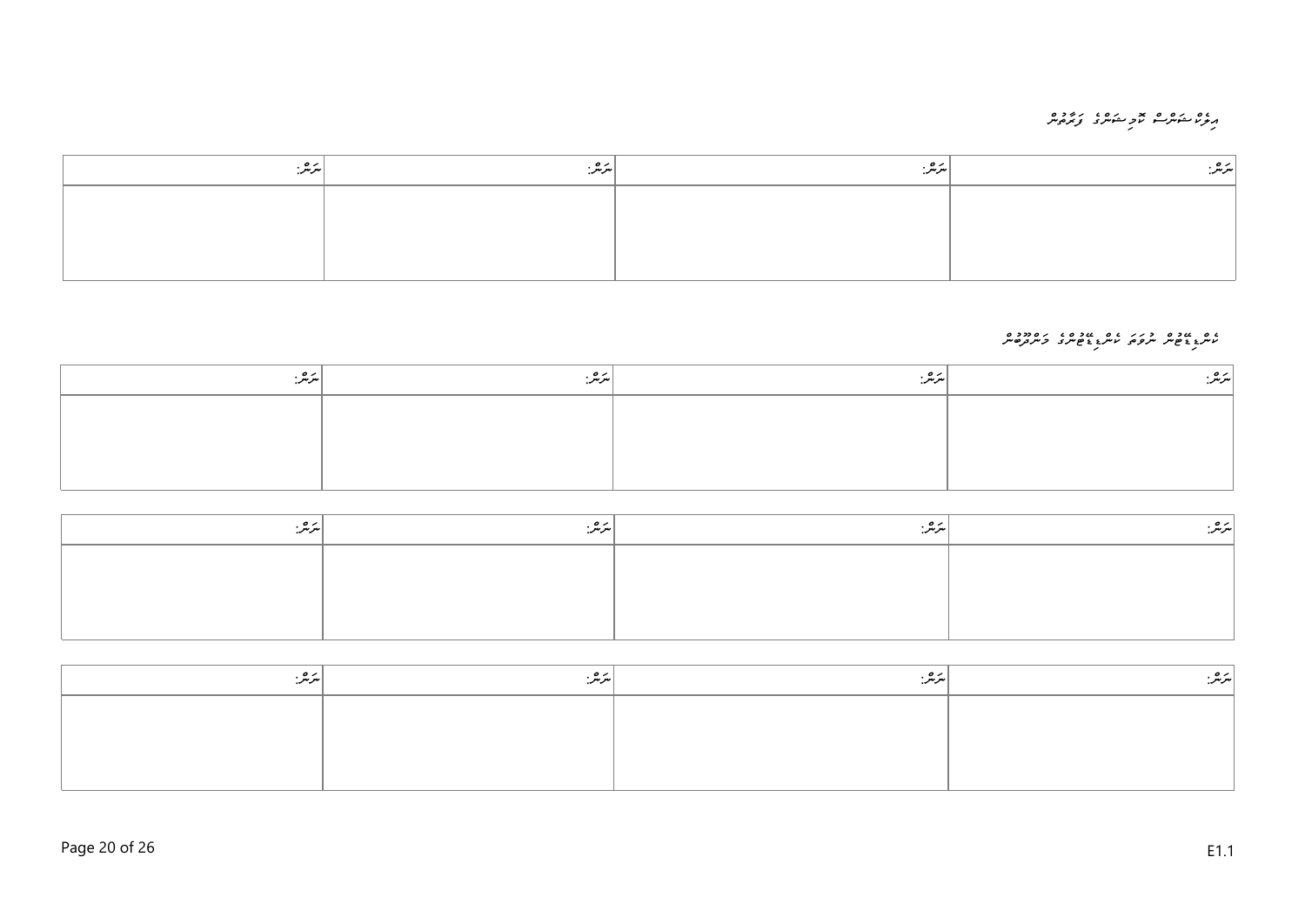## *w7qAn8m? sCw7mRo>u; wEw7mRw;sBo<*

| ' مرمر | 'يئرىثر: |
|--------|----------|
|        |          |
|        |          |
|        |          |

## *w7q9r@w7m> sCw7qHtFoFw7s; mAm=q7 w7qHtFoFw7s;*

| ىر تە | $\mathcal{O} \times$<br>$\sim$ | $\sim$<br>. . | لترنثر |
|-------|--------------------------------|---------------|--------|
|       |                                |               |        |
|       |                                |               |        |
|       |                                |               |        |

| $\frac{2}{n}$ | $^{\circ}$ | $\frac{2}{n}$ | $^{\circ}$<br>سرسر. |
|---------------|------------|---------------|---------------------|
|               |            |               |                     |
|               |            |               |                     |
|               |            |               |                     |

| ىرتىر: | 。<br>سر سر | .,<br>مرسر |
|--------|------------|------------|
|        |            |            |
|        |            |            |
|        |            |            |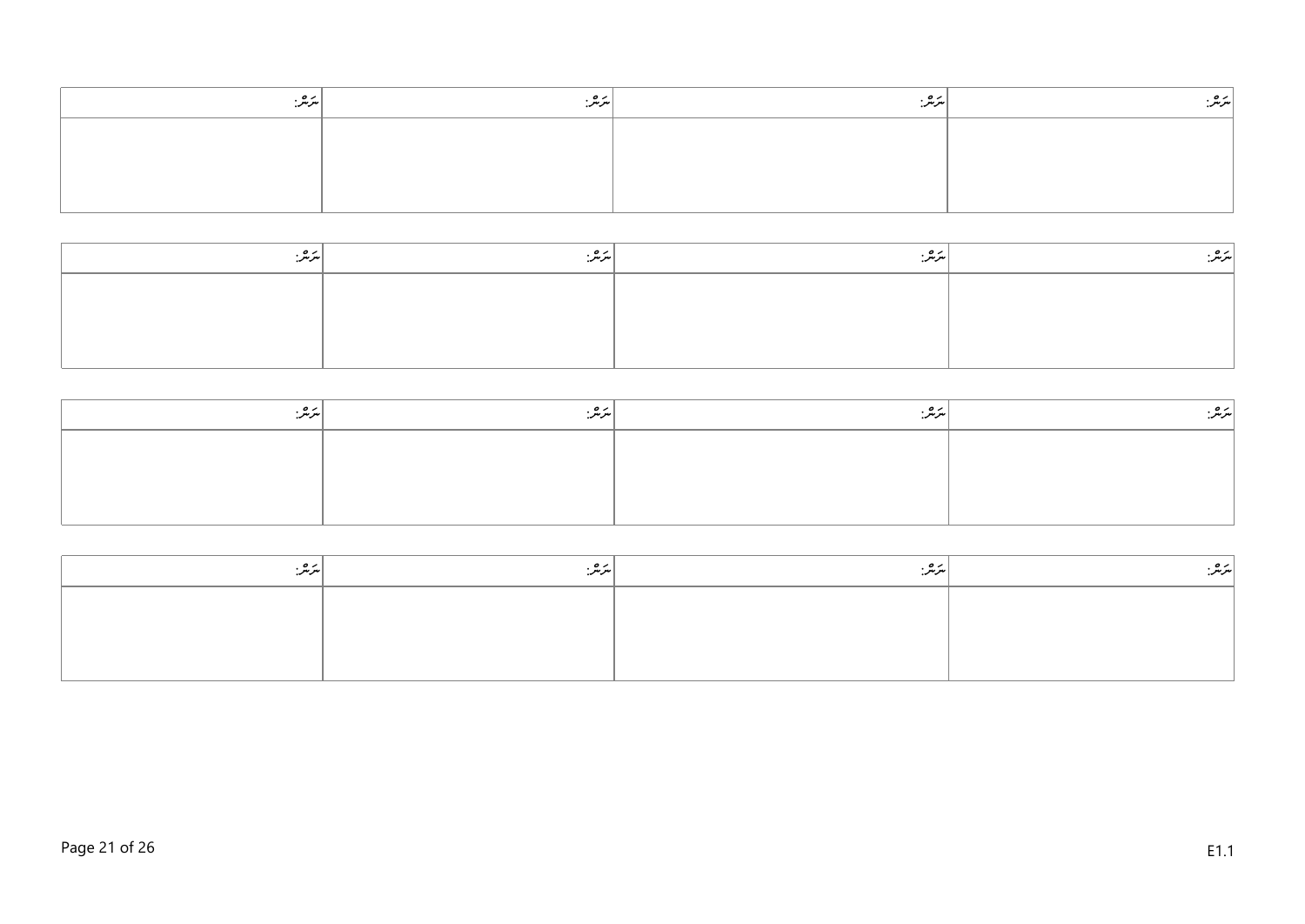| يره. | ο. | ا ير ه |  |
|------|----|--------|--|
|      |    |        |  |
|      |    |        |  |
|      |    |        |  |

| <sup>.</sup> سرسر. |  |
|--------------------|--|
|                    |  |
|                    |  |
|                    |  |

| ىئرىتر. | $\sim$ | ا بر هه. | لىرىش |
|---------|--------|----------|-------|
|         |        |          |       |
|         |        |          |       |
|         |        |          |       |

| 。<br>مرس. | $\overline{\phantom{a}}$<br>مر سر | ىرىر |
|-----------|-----------------------------------|------|
|           |                                   |      |
|           |                                   |      |
|           |                                   |      |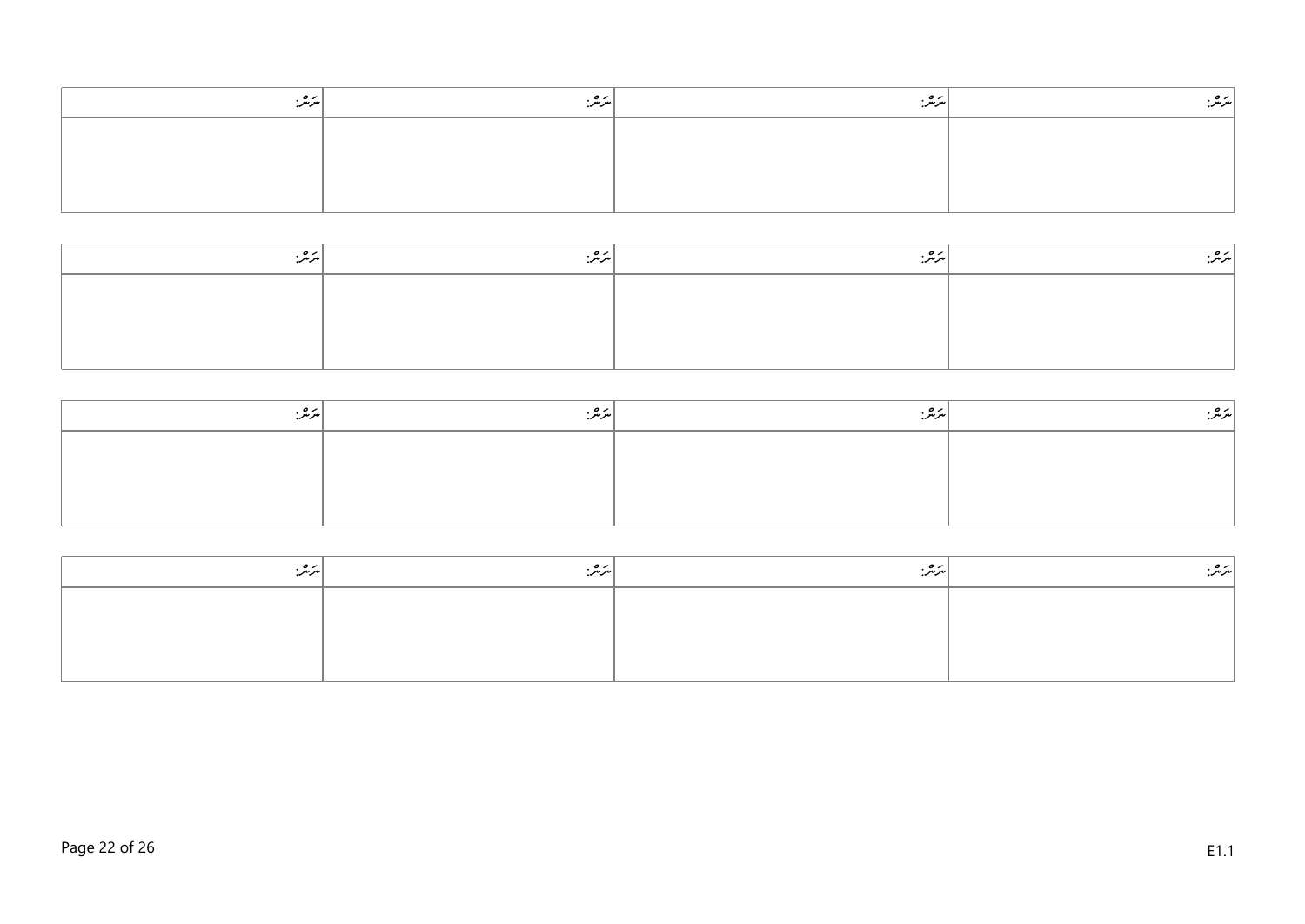| ير هو . | $\overline{\phantom{a}}$ | يرمر | اير هنه. |
|---------|--------------------------|------|----------|
|         |                          |      |          |
|         |                          |      |          |
|         |                          |      |          |

| ىر تىر: | $\circ$ $\sim$<br>" سرسر . | يبرحه | o . |
|---------|----------------------------|-------|-----|
|         |                            |       |     |
|         |                            |       |     |
|         |                            |       |     |

| 'تترنثر: | ر ه |  |
|----------|-----|--|
|          |     |  |
|          |     |  |
|          |     |  |

|  | . ه |
|--|-----|
|  |     |
|  |     |
|  |     |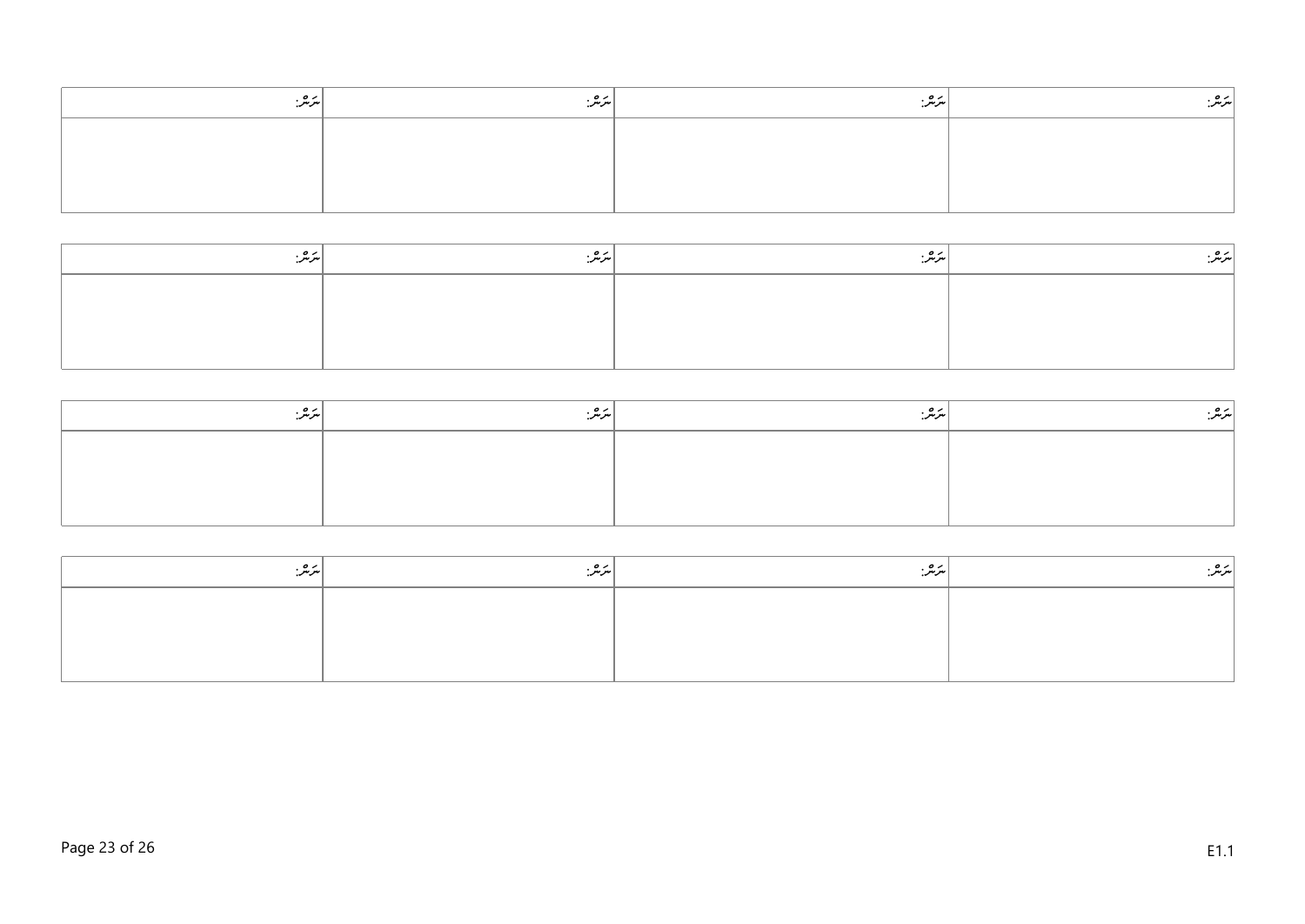| ير هو . | $\overline{\phantom{a}}$ | يرمر | اير هنه. |
|---------|--------------------------|------|----------|
|         |                          |      |          |
|         |                          |      |          |
|         |                          |      |          |

| ىر تىر: | $\circ$ $\sim$<br>" سرسر . | يبرحه | o . |
|---------|----------------------------|-------|-----|
|         |                            |       |     |
|         |                            |       |     |
|         |                            |       |     |

| 'تترنثر: | ر ه |  |
|----------|-----|--|
|          |     |  |
|          |     |  |
|          |     |  |

|  | . ه |
|--|-----|
|  |     |
|  |     |
|  |     |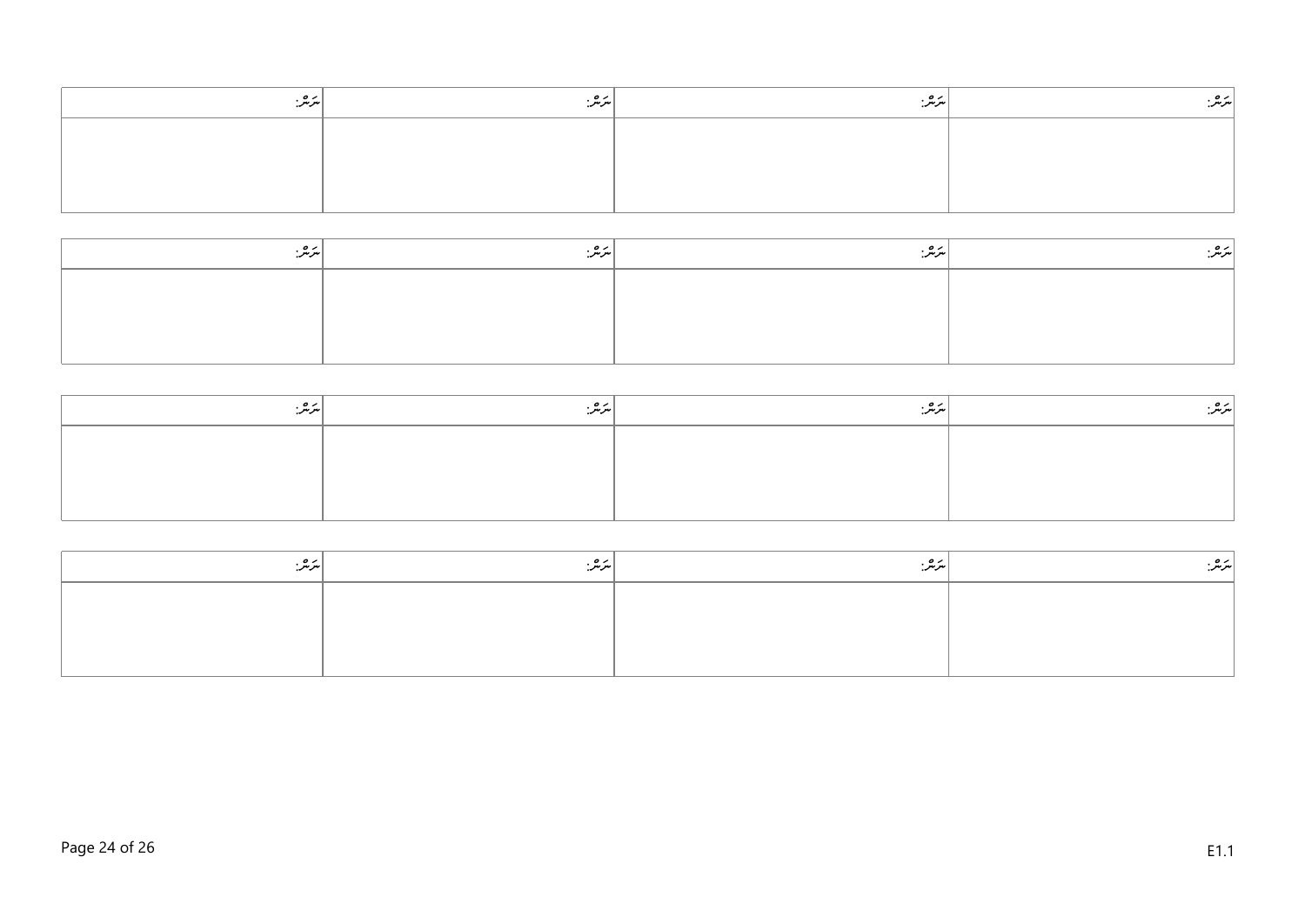| $\cdot$ | 。 | $\frac{\circ}{\cdot}$ | $\sim$<br>سرسر |
|---------|---|-----------------------|----------------|
|         |   |                       |                |
|         |   |                       |                |
|         |   |                       |                |

| ايرعر: | ر ه<br>. . |  |
|--------|------------|--|
|        |            |  |
|        |            |  |
|        |            |  |

| بر ه | . ه | $\sim$<br>سرسر |  |
|------|-----|----------------|--|
|      |     |                |  |
|      |     |                |  |
|      |     |                |  |

| 。<br>. س | ىرىىر |  |
|----------|-------|--|
|          |       |  |
|          |       |  |
|          |       |  |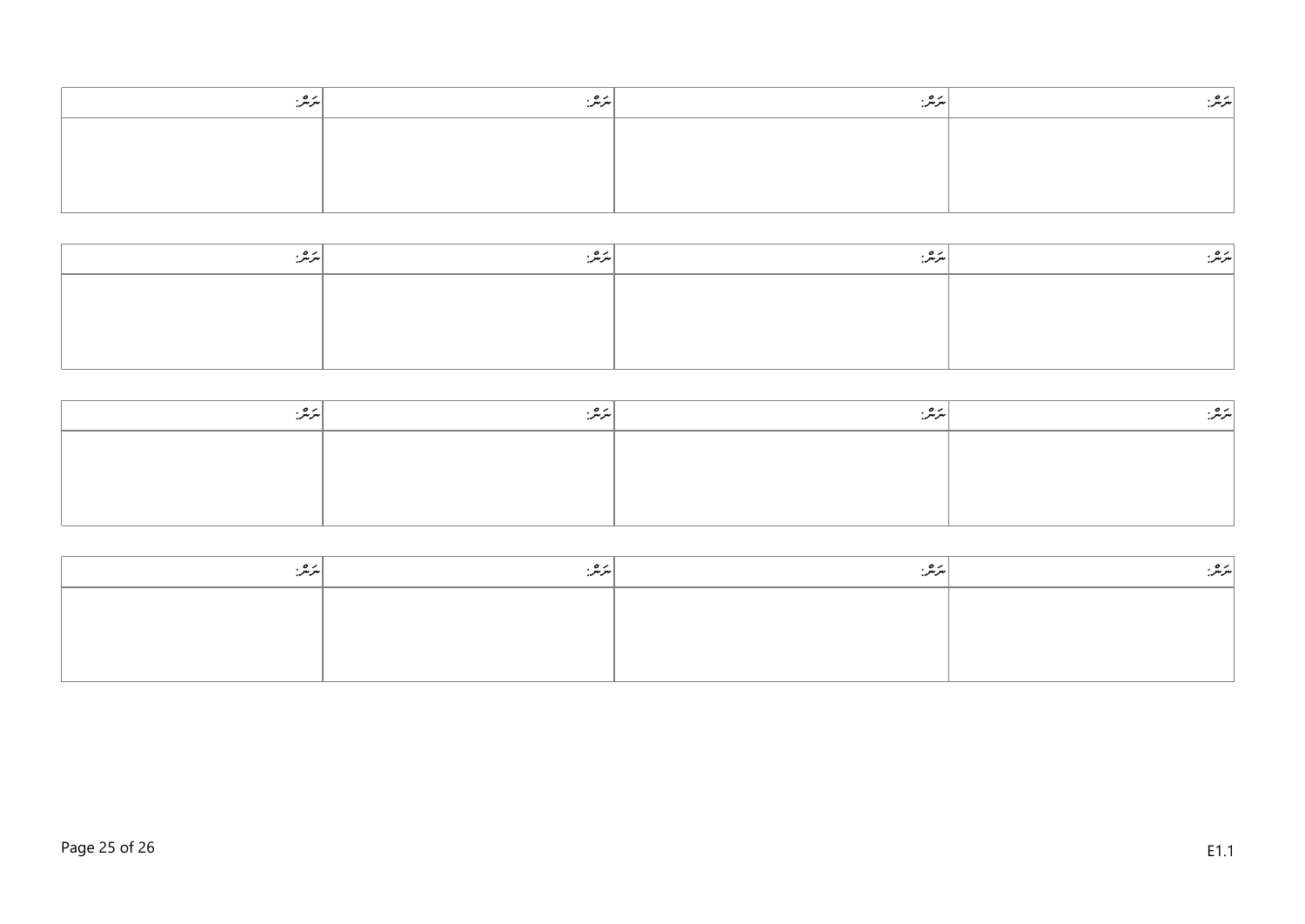| ير هو . | $\overline{\phantom{a}}$ | يرمر | اير هنه. |
|---------|--------------------------|------|----------|
|         |                          |      |          |
|         |                          |      |          |
|         |                          |      |          |

| ىبرىر. | $\sim$<br>ا سرسر . | يئرمثر | o . |
|--------|--------------------|--------|-----|
|        |                    |        |     |
|        |                    |        |     |
|        |                    |        |     |

| انترنثر: | ر ه |  |
|----------|-----|--|
|          |     |  |
|          |     |  |
|          |     |  |

|  | . ه |
|--|-----|
|  |     |
|  |     |
|  |     |